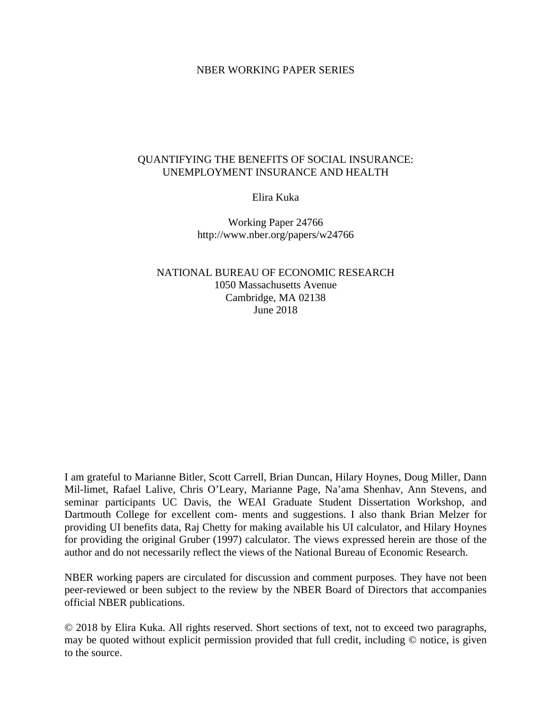### NBER WORKING PAPER SERIES

### QUANTIFYING THE BENEFITS OF SOCIAL INSURANCE: UNEMPLOYMENT INSURANCE AND HEALTH

Elira Kuka

Working Paper 24766 http://www.nber.org/papers/w24766

NATIONAL BUREAU OF ECONOMIC RESEARCH 1050 Massachusetts Avenue Cambridge, MA 02138 June 2018

I am grateful to Marianne Bitler, Scott Carrell, Brian Duncan, Hilary Hoynes, Doug Miller, Dann Mil-limet, Rafael Lalive, Chris O'Leary, Marianne Page, Na'ama Shenhav, Ann Stevens, and seminar participants UC Davis, the WEAI Graduate Student Dissertation Workshop, and Dartmouth College for excellent com- ments and suggestions. I also thank Brian Melzer for providing UI benefits data, Raj Chetty for making available his UI calculator, and Hilary Hoynes for providing the original Gruber (1997) calculator. The views expressed herein are those of the author and do not necessarily reflect the views of the National Bureau of Economic Research.

NBER working papers are circulated for discussion and comment purposes. They have not been peer-reviewed or been subject to the review by the NBER Board of Directors that accompanies official NBER publications.

© 2018 by Elira Kuka. All rights reserved. Short sections of text, not to exceed two paragraphs, may be quoted without explicit permission provided that full credit, including © notice, is given to the source.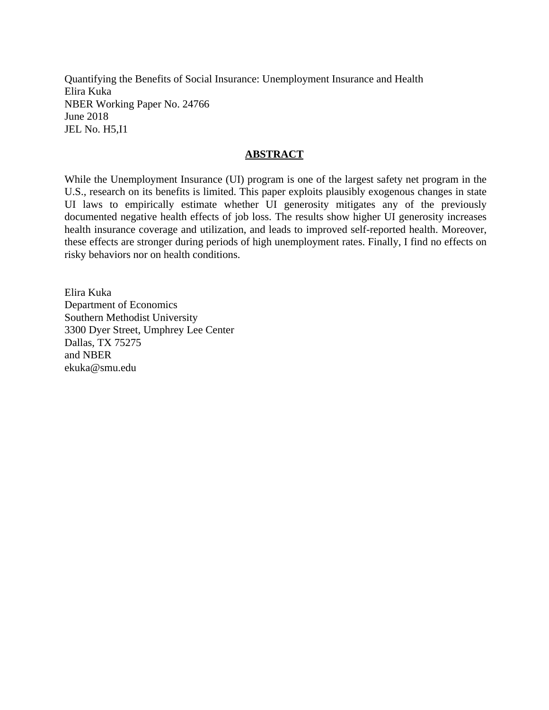Quantifying the Benefits of Social Insurance: Unemployment Insurance and Health Elira Kuka NBER Working Paper No. 24766 June 2018 JEL No. H5,I1

### **ABSTRACT**

While the Unemployment Insurance (UI) program is one of the largest safety net program in the U.S., research on its benefits is limited. This paper exploits plausibly exogenous changes in state UI laws to empirically estimate whether UI generosity mitigates any of the previously documented negative health effects of job loss. The results show higher UI generosity increases health insurance coverage and utilization, and leads to improved self-reported health. Moreover, these effects are stronger during periods of high unemployment rates. Finally, I find no effects on risky behaviors nor on health conditions.

Elira Kuka Department of Economics Southern Methodist University 3300 Dyer Street, Umphrey Lee Center Dallas, TX 75275 and NBER ekuka@smu.edu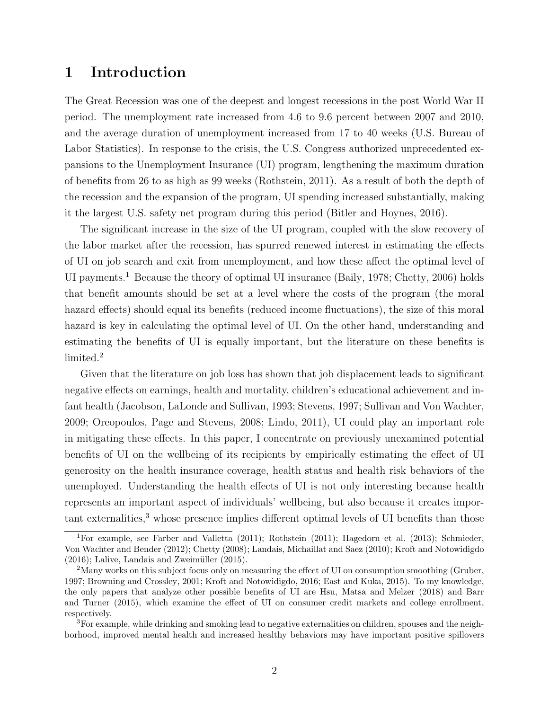## 1 Introduction

The Great Recession was one of the deepest and longest recessions in the post World War II period. The unemployment rate increased from 4.6 to 9.6 percent between 2007 and 2010, and the average duration of unemployment increased from 17 to 40 weeks (U.S. Bureau of Labor Statistics). In response to the crisis, the U.S. Congress authorized unprecedented expansions to the Unemployment Insurance (UI) program, lengthening the maximum duration of benefits from 26 to as high as 99 weeks (Rothstein, 2011). As a result of both the depth of the recession and the expansion of the program, UI spending increased substantially, making it the largest U.S. safety net program during this period (Bitler and Hoynes, 2016).

The significant increase in the size of the UI program, coupled with the slow recovery of the labor market after the recession, has spurred renewed interest in estimating the effects of UI on job search and exit from unemployment, and how these affect the optimal level of UI payments.<sup>1</sup> Because the theory of optimal UI insurance (Baily, 1978; Chetty, 2006) holds that benefit amounts should be set at a level where the costs of the program (the moral hazard effects) should equal its benefits (reduced income fluctuations), the size of this moral hazard is key in calculating the optimal level of UI. On the other hand, understanding and estimating the benefits of UI is equally important, but the literature on these benefits is limited.<sup>2</sup>

Given that the literature on job loss has shown that job displacement leads to significant negative effects on earnings, health and mortality, children's educational achievement and infant health (Jacobson, LaLonde and Sullivan, 1993; Stevens, 1997; Sullivan and Von Wachter, 2009; Oreopoulos, Page and Stevens, 2008; Lindo, 2011), UI could play an important role in mitigating these effects. In this paper, I concentrate on previously unexamined potential benefits of UI on the wellbeing of its recipients by empirically estimating the effect of UI generosity on the health insurance coverage, health status and health risk behaviors of the unemployed. Understanding the health effects of UI is not only interesting because health represents an important aspect of individuals' wellbeing, but also because it creates impor- $\tau$  tant externalities,<sup>3</sup> whose presence implies different optimal levels of UI benefits than those

<sup>1</sup>For example, see Farber and Valletta (2011); Rothstein (2011); Hagedorn et al. (2013); Schmieder, Von Wachter and Bender (2012); Chetty (2008); Landais, Michaillat and Saez (2010); Kroft and Notowidigdo  $(2016)$ ; Lalive, Landais and Zweimüller  $(2015)$ .

<sup>&</sup>lt;sup>2</sup>Many works on this subject focus only on measuring the effect of UI on consumption smoothing (Gruber, 1997; Browning and Crossley, 2001; Kroft and Notowidigdo, 2016; East and Kuka, 2015). To my knowledge, the only papers that analyze other possible benefits of UI are Hsu, Matsa and Melzer (2018) and Barr and Turner (2015), which examine the effect of UI on consumer credit markets and college enrollment, respectively.

<sup>3</sup>For example, while drinking and smoking lead to negative externalities on children, spouses and the neighborhood, improved mental health and increased healthy behaviors may have important positive spillovers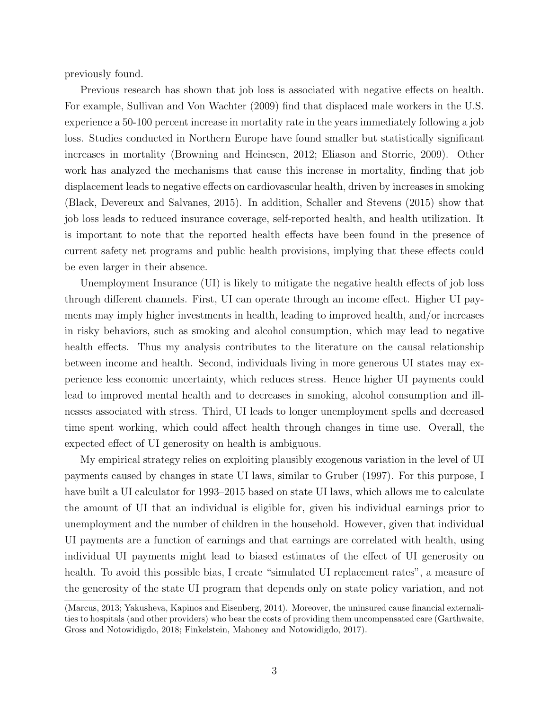previously found.

Previous research has shown that job loss is associated with negative effects on health. For example, Sullivan and Von Wachter (2009) find that displaced male workers in the U.S. experience a 50-100 percent increase in mortality rate in the years immediately following a job loss. Studies conducted in Northern Europe have found smaller but statistically significant increases in mortality (Browning and Heinesen, 2012; Eliason and Storrie, 2009). Other work has analyzed the mechanisms that cause this increase in mortality, finding that job displacement leads to negative effects on cardiovascular health, driven by increases in smoking (Black, Devereux and Salvanes, 2015). In addition, Schaller and Stevens (2015) show that job loss leads to reduced insurance coverage, self-reported health, and health utilization. It is important to note that the reported health effects have been found in the presence of current safety net programs and public health provisions, implying that these effects could be even larger in their absence.

Unemployment Insurance (UI) is likely to mitigate the negative health effects of job loss through different channels. First, UI can operate through an income effect. Higher UI payments may imply higher investments in health, leading to improved health, and/or increases in risky behaviors, such as smoking and alcohol consumption, which may lead to negative health effects. Thus my analysis contributes to the literature on the causal relationship between income and health. Second, individuals living in more generous UI states may experience less economic uncertainty, which reduces stress. Hence higher UI payments could lead to improved mental health and to decreases in smoking, alcohol consumption and illnesses associated with stress. Third, UI leads to longer unemployment spells and decreased time spent working, which could affect health through changes in time use. Overall, the expected effect of UI generosity on health is ambiguous.

My empirical strategy relies on exploiting plausibly exogenous variation in the level of UI payments caused by changes in state UI laws, similar to Gruber (1997). For this purpose, I have built a UI calculator for 1993–2015 based on state UI laws, which allows me to calculate the amount of UI that an individual is eligible for, given his individual earnings prior to unemployment and the number of children in the household. However, given that individual UI payments are a function of earnings and that earnings are correlated with health, using individual UI payments might lead to biased estimates of the effect of UI generosity on health. To avoid this possible bias, I create "simulated UI replacement rates", a measure of the generosity of the state UI program that depends only on state policy variation, and not

<sup>(</sup>Marcus, 2013; Yakusheva, Kapinos and Eisenberg, 2014). Moreover, the uninsured cause financial externalities to hospitals (and other providers) who bear the costs of providing them uncompensated care (Garthwaite, Gross and Notowidigdo, 2018; Finkelstein, Mahoney and Notowidigdo, 2017).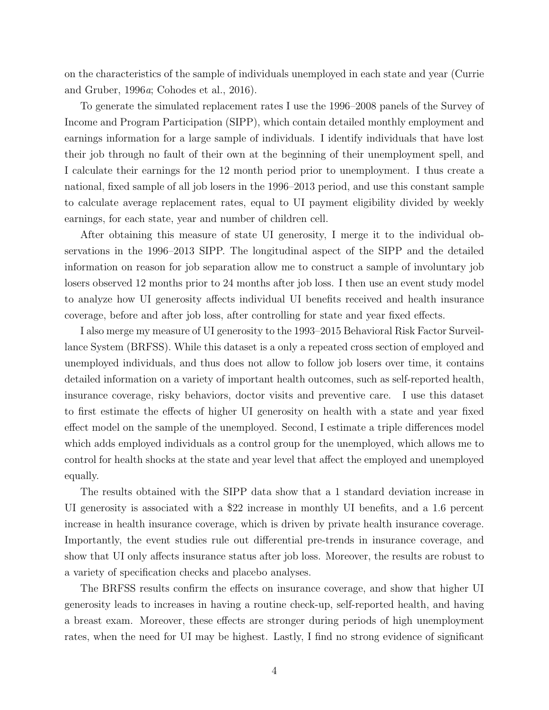on the characteristics of the sample of individuals unemployed in each state and year (Currie and Gruber, 1996a; Cohodes et al., 2016).

To generate the simulated replacement rates I use the 1996–2008 panels of the Survey of Income and Program Participation (SIPP), which contain detailed monthly employment and earnings information for a large sample of individuals. I identify individuals that have lost their job through no fault of their own at the beginning of their unemployment spell, and I calculate their earnings for the 12 month period prior to unemployment. I thus create a national, fixed sample of all job losers in the 1996–2013 period, and use this constant sample to calculate average replacement rates, equal to UI payment eligibility divided by weekly earnings, for each state, year and number of children cell.

After obtaining this measure of state UI generosity, I merge it to the individual observations in the 1996–2013 SIPP. The longitudinal aspect of the SIPP and the detailed information on reason for job separation allow me to construct a sample of involuntary job losers observed 12 months prior to 24 months after job loss. I then use an event study model to analyze how UI generosity affects individual UI benefits received and health insurance coverage, before and after job loss, after controlling for state and year fixed effects.

I also merge my measure of UI generosity to the 1993–2015 Behavioral Risk Factor Surveillance System (BRFSS). While this dataset is a only a repeated cross section of employed and unemployed individuals, and thus does not allow to follow job losers over time, it contains detailed information on a variety of important health outcomes, such as self-reported health, insurance coverage, risky behaviors, doctor visits and preventive care. I use this dataset to first estimate the effects of higher UI generosity on health with a state and year fixed effect model on the sample of the unemployed. Second, I estimate a triple differences model which adds employed individuals as a control group for the unemployed, which allows me to control for health shocks at the state and year level that affect the employed and unemployed equally.

The results obtained with the SIPP data show that a 1 standard deviation increase in UI generosity is associated with a \$22 increase in monthly UI benefits, and a 1.6 percent increase in health insurance coverage, which is driven by private health insurance coverage. Importantly, the event studies rule out differential pre-trends in insurance coverage, and show that UI only affects insurance status after job loss. Moreover, the results are robust to a variety of specification checks and placebo analyses.

The BRFSS results confirm the effects on insurance coverage, and show that higher UI generosity leads to increases in having a routine check-up, self-reported health, and having a breast exam. Moreover, these effects are stronger during periods of high unemployment rates, when the need for UI may be highest. Lastly, I find no strong evidence of significant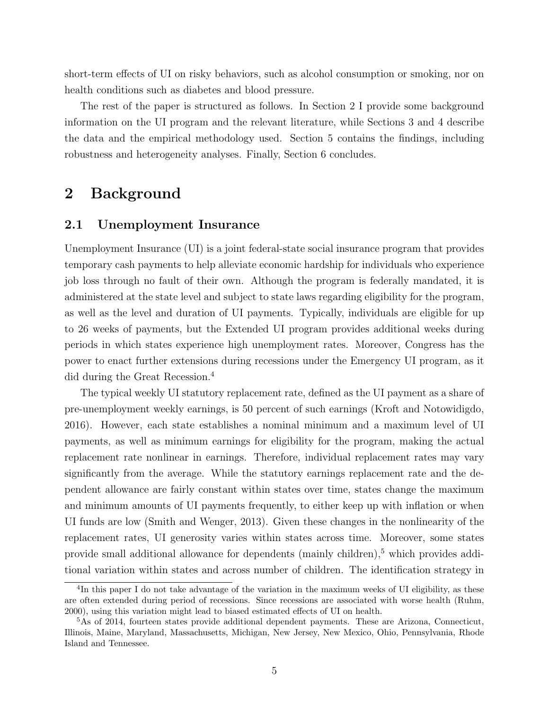short-term effects of UI on risky behaviors, such as alcohol consumption or smoking, nor on health conditions such as diabetes and blood pressure.

The rest of the paper is structured as follows. In Section 2 I provide some background information on the UI program and the relevant literature, while Sections 3 and 4 describe the data and the empirical methodology used. Section 5 contains the findings, including robustness and heterogeneity analyses. Finally, Section 6 concludes.

## 2 Background

## 2.1 Unemployment Insurance

Unemployment Insurance (UI) is a joint federal-state social insurance program that provides temporary cash payments to help alleviate economic hardship for individuals who experience job loss through no fault of their own. Although the program is federally mandated, it is administered at the state level and subject to state laws regarding eligibility for the program, as well as the level and duration of UI payments. Typically, individuals are eligible for up to 26 weeks of payments, but the Extended UI program provides additional weeks during periods in which states experience high unemployment rates. Moreover, Congress has the power to enact further extensions during recessions under the Emergency UI program, as it did during the Great Recession.<sup>4</sup>

The typical weekly UI statutory replacement rate, defined as the UI payment as a share of pre-unemployment weekly earnings, is 50 percent of such earnings (Kroft and Notowidigdo, 2016). However, each state establishes a nominal minimum and a maximum level of UI payments, as well as minimum earnings for eligibility for the program, making the actual replacement rate nonlinear in earnings. Therefore, individual replacement rates may vary significantly from the average. While the statutory earnings replacement rate and the dependent allowance are fairly constant within states over time, states change the maximum and minimum amounts of UI payments frequently, to either keep up with inflation or when UI funds are low (Smith and Wenger, 2013). Given these changes in the nonlinearity of the replacement rates, UI generosity varies within states across time. Moreover, some states provide small additional allowance for dependents (mainly children),<sup>5</sup> which provides additional variation within states and across number of children. The identification strategy in

<sup>&</sup>lt;sup>4</sup>In this paper I do not take advantage of the variation in the maximum weeks of UI eligibility, as these are often extended during period of recessions. Since recessions are associated with worse health (Ruhm, 2000), using this variation might lead to biased estimated effects of UI on health.

<sup>&</sup>lt;sup>5</sup>As of 2014, fourteen states provide additional dependent payments. These are Arizona, Connecticut, Illinois, Maine, Maryland, Massachusetts, Michigan, New Jersey, New Mexico, Ohio, Pennsylvania, Rhode Island and Tennessee.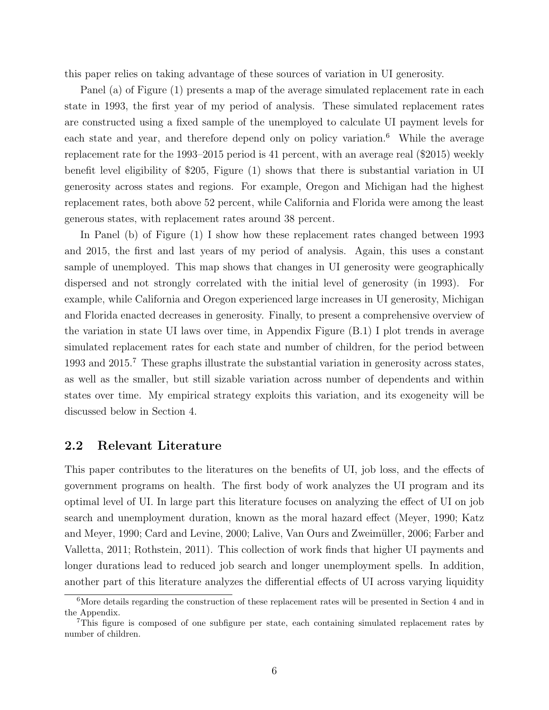this paper relies on taking advantage of these sources of variation in UI generosity.

Panel (a) of Figure (1) presents a map of the average simulated replacement rate in each state in 1993, the first year of my period of analysis. These simulated replacement rates are constructed using a fixed sample of the unemployed to calculate UI payment levels for each state and year, and therefore depend only on policy variation.<sup>6</sup> While the average replacement rate for the 1993–2015 period is 41 percent, with an average real (\$2015) weekly benefit level eligibility of \$205, Figure (1) shows that there is substantial variation in UI generosity across states and regions. For example, Oregon and Michigan had the highest replacement rates, both above 52 percent, while California and Florida were among the least generous states, with replacement rates around 38 percent.

In Panel (b) of Figure (1) I show how these replacement rates changed between 1993 and 2015, the first and last years of my period of analysis. Again, this uses a constant sample of unemployed. This map shows that changes in UI generosity were geographically dispersed and not strongly correlated with the initial level of generosity (in 1993). For example, while California and Oregon experienced large increases in UI generosity, Michigan and Florida enacted decreases in generosity. Finally, to present a comprehensive overview of the variation in state UI laws over time, in Appendix Figure (B.1) I plot trends in average simulated replacement rates for each state and number of children, for the period between 1993 and 2015.<sup>7</sup> These graphs illustrate the substantial variation in generosity across states, as well as the smaller, but still sizable variation across number of dependents and within states over time. My empirical strategy exploits this variation, and its exogeneity will be discussed below in Section 4.

## 2.2 Relevant Literature

This paper contributes to the literatures on the benefits of UI, job loss, and the effects of government programs on health. The first body of work analyzes the UI program and its optimal level of UI. In large part this literature focuses on analyzing the effect of UI on job search and unemployment duration, known as the moral hazard effect (Meyer, 1990; Katz and Meyer, 1990; Card and Levine, 2000; Lalive, Van Ours and Zweimüller, 2006; Farber and Valletta, 2011; Rothstein, 2011). This collection of work finds that higher UI payments and longer durations lead to reduced job search and longer unemployment spells. In addition, another part of this literature analyzes the differential effects of UI across varying liquidity

<sup>&</sup>lt;sup>6</sup>More details regarding the construction of these replacement rates will be presented in Section 4 and in the Appendix.

<sup>7</sup>This figure is composed of one subfigure per state, each containing simulated replacement rates by number of children.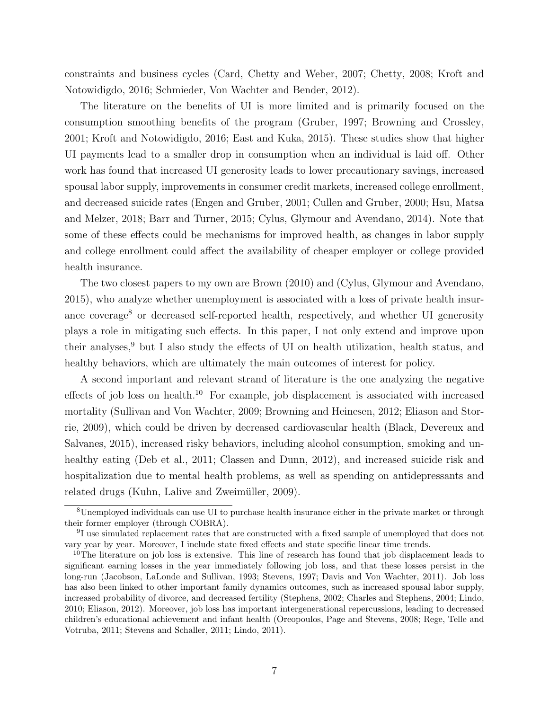constraints and business cycles (Card, Chetty and Weber, 2007; Chetty, 2008; Kroft and Notowidigdo, 2016; Schmieder, Von Wachter and Bender, 2012).

The literature on the benefits of UI is more limited and is primarily focused on the consumption smoothing benefits of the program (Gruber, 1997; Browning and Crossley, 2001; Kroft and Notowidigdo, 2016; East and Kuka, 2015). These studies show that higher UI payments lead to a smaller drop in consumption when an individual is laid off. Other work has found that increased UI generosity leads to lower precautionary savings, increased spousal labor supply, improvements in consumer credit markets, increased college enrollment, and decreased suicide rates (Engen and Gruber, 2001; Cullen and Gruber, 2000; Hsu, Matsa and Melzer, 2018; Barr and Turner, 2015; Cylus, Glymour and Avendano, 2014). Note that some of these effects could be mechanisms for improved health, as changes in labor supply and college enrollment could affect the availability of cheaper employer or college provided health insurance.

The two closest papers to my own are Brown (2010) and (Cylus, Glymour and Avendano, 2015), who analyze whether unemployment is associated with a loss of private health insurance coverage<sup>8</sup> or decreased self-reported health, respectively, and whether UI generosity plays a role in mitigating such effects. In this paper, I not only extend and improve upon their analyses, $9$  but I also study the effects of UI on health utilization, health status, and healthy behaviors, which are ultimately the main outcomes of interest for policy.

A second important and relevant strand of literature is the one analyzing the negative effects of job loss on health.<sup>10</sup> For example, job displacement is associated with increased mortality (Sullivan and Von Wachter, 2009; Browning and Heinesen, 2012; Eliason and Storrie, 2009), which could be driven by decreased cardiovascular health (Black, Devereux and Salvanes, 2015), increased risky behaviors, including alcohol consumption, smoking and unhealthy eating (Deb et al., 2011; Classen and Dunn, 2012), and increased suicide risk and hospitalization due to mental health problems, as well as spending on antidepressants and related drugs (Kuhn, Lalive and Zweimüller, 2009).

<sup>8</sup>Unemployed individuals can use UI to purchase health insurance either in the private market or through their former employer (through COBRA).

<sup>&</sup>lt;sup>9</sup>I use simulated replacement rates that are constructed with a fixed sample of unemployed that does not vary year by year. Moreover, I include state fixed effects and state specific linear time trends.

<sup>&</sup>lt;sup>10</sup>The literature on job loss is extensive. This line of research has found that job displacement leads to significant earning losses in the year immediately following job loss, and that these losses persist in the long-run (Jacobson, LaLonde and Sullivan, 1993; Stevens, 1997; Davis and Von Wachter, 2011). Job loss has also been linked to other important family dynamics outcomes, such as increased spousal labor supply, increased probability of divorce, and decreased fertility (Stephens, 2002; Charles and Stephens, 2004; Lindo, 2010; Eliason, 2012). Moreover, job loss has important intergenerational repercussions, leading to decreased children's educational achievement and infant health (Oreopoulos, Page and Stevens, 2008; Rege, Telle and Votruba, 2011; Stevens and Schaller, 2011; Lindo, 2011).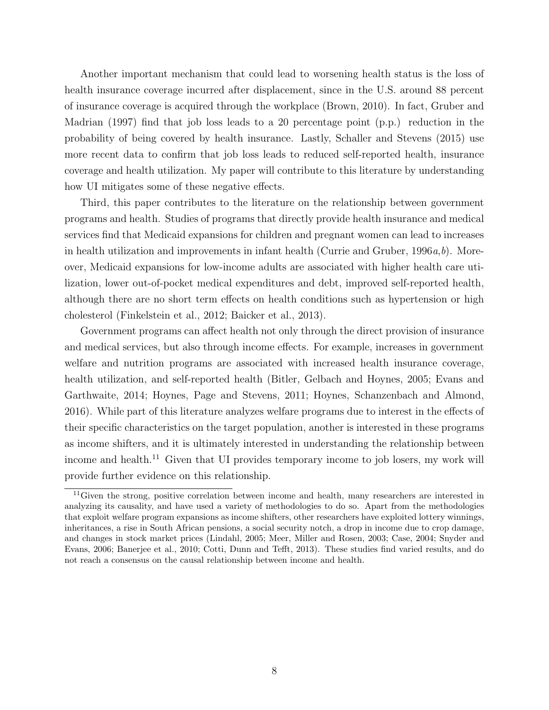Another important mechanism that could lead to worsening health status is the loss of health insurance coverage incurred after displacement, since in the U.S. around 88 percent of insurance coverage is acquired through the workplace (Brown, 2010). In fact, Gruber and Madrian (1997) find that job loss leads to a 20 percentage point (p.p.) reduction in the probability of being covered by health insurance. Lastly, Schaller and Stevens (2015) use more recent data to confirm that job loss leads to reduced self-reported health, insurance coverage and health utilization. My paper will contribute to this literature by understanding how UI mitigates some of these negative effects.

Third, this paper contributes to the literature on the relationship between government programs and health. Studies of programs that directly provide health insurance and medical services find that Medicaid expansions for children and pregnant women can lead to increases in health utilization and improvements in infant health (Currie and Gruber,  $1996a, b$ ). Moreover, Medicaid expansions for low-income adults are associated with higher health care utilization, lower out-of-pocket medical expenditures and debt, improved self-reported health, although there are no short term effects on health conditions such as hypertension or high cholesterol (Finkelstein et al., 2012; Baicker et al., 2013).

Government programs can affect health not only through the direct provision of insurance and medical services, but also through income effects. For example, increases in government welfare and nutrition programs are associated with increased health insurance coverage, health utilization, and self-reported health (Bitler, Gelbach and Hoynes, 2005; Evans and Garthwaite, 2014; Hoynes, Page and Stevens, 2011; Hoynes, Schanzenbach and Almond, 2016). While part of this literature analyzes welfare programs due to interest in the effects of their specific characteristics on the target population, another is interested in these programs as income shifters, and it is ultimately interested in understanding the relationship between income and health.<sup>11</sup> Given that UI provides temporary income to job losers, my work will provide further evidence on this relationship.

<sup>&</sup>lt;sup>11</sup>Given the strong, positive correlation between income and health, many researchers are interested in analyzing its causality, and have used a variety of methodologies to do so. Apart from the methodologies that exploit welfare program expansions as income shifters, other researchers have exploited lottery winnings, inheritances, a rise in South African pensions, a social security notch, a drop in income due to crop damage, and changes in stock market prices (Lindahl, 2005; Meer, Miller and Rosen, 2003; Case, 2004; Snyder and Evans, 2006; Banerjee et al., 2010; Cotti, Dunn and Tefft, 2013). These studies find varied results, and do not reach a consensus on the causal relationship between income and health.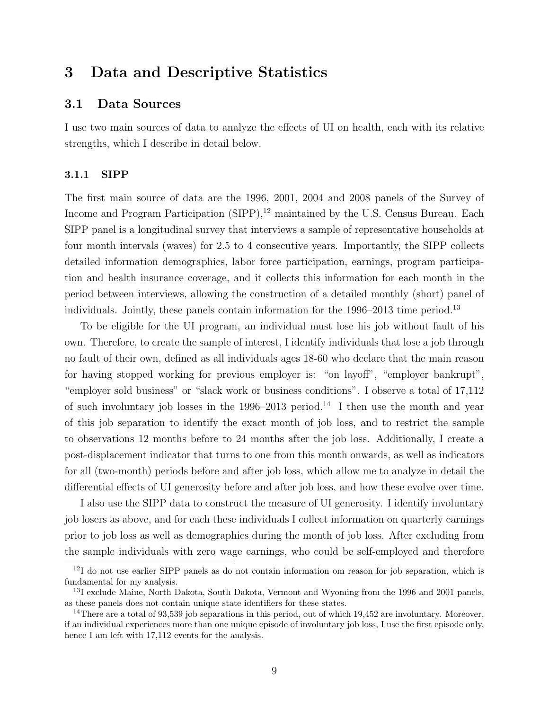## 3 Data and Descriptive Statistics

## 3.1 Data Sources

I use two main sources of data to analyze the effects of UI on health, each with its relative strengths, which I describe in detail below.

#### 3.1.1 SIPP

The first main source of data are the 1996, 2001, 2004 and 2008 panels of the Survey of Income and Program Participation (SIPP),<sup>12</sup> maintained by the U.S. Census Bureau. Each SIPP panel is a longitudinal survey that interviews a sample of representative households at four month intervals (waves) for 2.5 to 4 consecutive years. Importantly, the SIPP collects detailed information demographics, labor force participation, earnings, program participation and health insurance coverage, and it collects this information for each month in the period between interviews, allowing the construction of a detailed monthly (short) panel of individuals. Jointly, these panels contain information for the  $1996-2013$  time period.<sup>13</sup>

To be eligible for the UI program, an individual must lose his job without fault of his own. Therefore, to create the sample of interest, I identify individuals that lose a job through no fault of their own, defined as all individuals ages 18-60 who declare that the main reason for having stopped working for previous employer is: "on layoff", "employer bankrupt", "employer sold business" or "slack work or business conditions". I observe a total of 17,112 of such involuntary job losses in the  $1996-2013$  period.<sup>14</sup> I then use the month and year of this job separation to identify the exact month of job loss, and to restrict the sample to observations 12 months before to 24 months after the job loss. Additionally, I create a post-displacement indicator that turns to one from this month onwards, as well as indicators for all (two-month) periods before and after job loss, which allow me to analyze in detail the differential effects of UI generosity before and after job loss, and how these evolve over time.

I also use the SIPP data to construct the measure of UI generosity. I identify involuntary job losers as above, and for each these individuals I collect information on quarterly earnings prior to job loss as well as demographics during the month of job loss. After excluding from the sample individuals with zero wage earnings, who could be self-employed and therefore

<sup>12</sup>I do not use earlier SIPP panels as do not contain information om reason for job separation, which is fundamental for my analysis.

<sup>&</sup>lt;sup>13</sup>I exclude Maine, North Dakota, South Dakota, Vermont and Wyoming from the 1996 and 2001 panels, as these panels does not contain unique state identifiers for these states.

<sup>&</sup>lt;sup>14</sup>There are a total of 93,539 job separations in this period, out of which  $19,452$  are involuntary. Moreover, if an individual experiences more than one unique episode of involuntary job loss, I use the first episode only, hence I am left with  $17,112$  events for the analysis.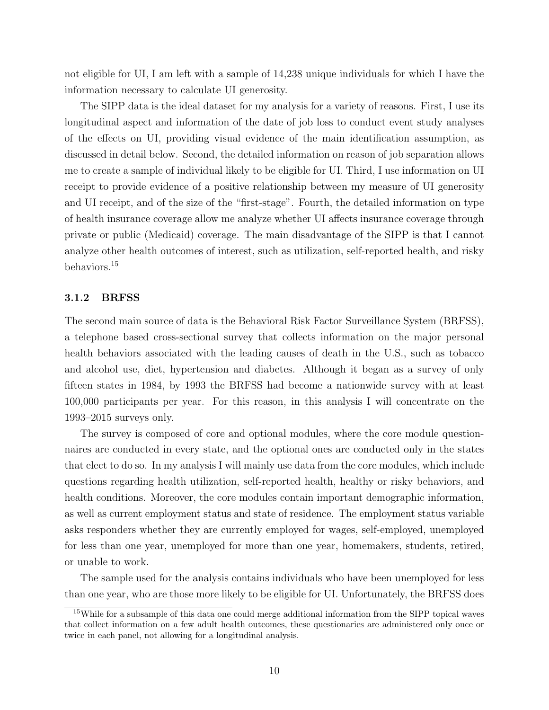not eligible for UI, I am left with a sample of 14,238 unique individuals for which I have the information necessary to calculate UI generosity.

The SIPP data is the ideal dataset for my analysis for a variety of reasons. First, I use its longitudinal aspect and information of the date of job loss to conduct event study analyses of the effects on UI, providing visual evidence of the main identification assumption, as discussed in detail below. Second, the detailed information on reason of job separation allows me to create a sample of individual likely to be eligible for UI. Third, I use information on UI receipt to provide evidence of a positive relationship between my measure of UI generosity and UI receipt, and of the size of the "first-stage". Fourth, the detailed information on type of health insurance coverage allow me analyze whether UI affects insurance coverage through private or public (Medicaid) coverage. The main disadvantage of the SIPP is that I cannot analyze other health outcomes of interest, such as utilization, self-reported health, and risky behaviors.<sup>15</sup>

#### 3.1.2 BRFSS

The second main source of data is the Behavioral Risk Factor Surveillance System (BRFSS), a telephone based cross-sectional survey that collects information on the major personal health behaviors associated with the leading causes of death in the U.S., such as tobacco and alcohol use, diet, hypertension and diabetes. Although it began as a survey of only fifteen states in 1984, by 1993 the BRFSS had become a nationwide survey with at least 100,000 participants per year. For this reason, in this analysis I will concentrate on the 1993–2015 surveys only.

The survey is composed of core and optional modules, where the core module questionnaires are conducted in every state, and the optional ones are conducted only in the states that elect to do so. In my analysis I will mainly use data from the core modules, which include questions regarding health utilization, self-reported health, healthy or risky behaviors, and health conditions. Moreover, the core modules contain important demographic information, as well as current employment status and state of residence. The employment status variable asks responders whether they are currently employed for wages, self-employed, unemployed for less than one year, unemployed for more than one year, homemakers, students, retired, or unable to work.

The sample used for the analysis contains individuals who have been unemployed for less than one year, who are those more likely to be eligible for UI. Unfortunately, the BRFSS does

<sup>&</sup>lt;sup>15</sup>While for a subsample of this data one could merge additional information from the SIPP topical waves that collect information on a few adult health outcomes, these questionaries are administered only once or twice in each panel, not allowing for a longitudinal analysis.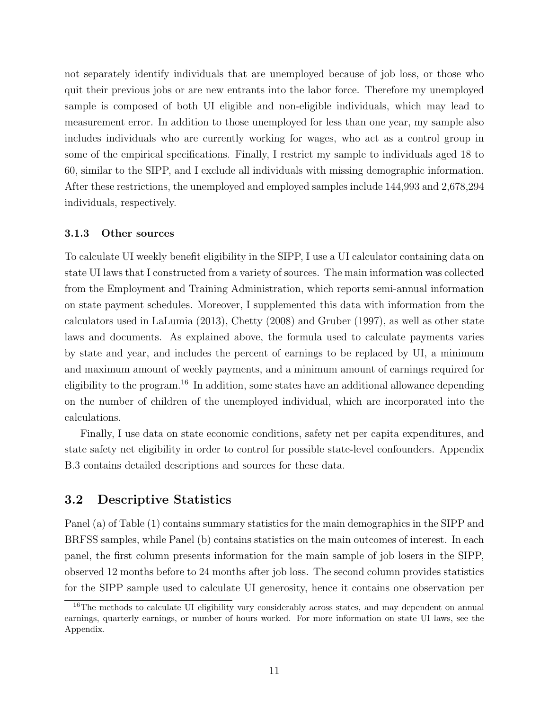not separately identify individuals that are unemployed because of job loss, or those who quit their previous jobs or are new entrants into the labor force. Therefore my unemployed sample is composed of both UI eligible and non-eligible individuals, which may lead to measurement error. In addition to those unemployed for less than one year, my sample also includes individuals who are currently working for wages, who act as a control group in some of the empirical specifications. Finally, I restrict my sample to individuals aged 18 to 60, similar to the SIPP, and I exclude all individuals with missing demographic information. After these restrictions, the unemployed and employed samples include 144,993 and 2,678,294 individuals, respectively.

#### 3.1.3 Other sources

To calculate UI weekly benefit eligibility in the SIPP, I use a UI calculator containing data on state UI laws that I constructed from a variety of sources. The main information was collected from the Employment and Training Administration, which reports semi-annual information on state payment schedules. Moreover, I supplemented this data with information from the calculators used in LaLumia (2013), Chetty (2008) and Gruber (1997), as well as other state laws and documents. As explained above, the formula used to calculate payments varies by state and year, and includes the percent of earnings to be replaced by UI, a minimum and maximum amount of weekly payments, and a minimum amount of earnings required for eligibility to the program.<sup>16</sup> In addition, some states have an additional allowance depending on the number of children of the unemployed individual, which are incorporated into the calculations.

Finally, I use data on state economic conditions, safety net per capita expenditures, and state safety net eligibility in order to control for possible state-level confounders. Appendix B.3 contains detailed descriptions and sources for these data.

## 3.2 Descriptive Statistics

Panel (a) of Table (1) contains summary statistics for the main demographics in the SIPP and BRFSS samples, while Panel (b) contains statistics on the main outcomes of interest. In each panel, the first column presents information for the main sample of job losers in the SIPP, observed 12 months before to 24 months after job loss. The second column provides statistics for the SIPP sample used to calculate UI generosity, hence it contains one observation per

<sup>&</sup>lt;sup>16</sup>The methods to calculate UI eligibility vary considerably across states, and may dependent on annual earnings, quarterly earnings, or number of hours worked. For more information on state UI laws, see the Appendix.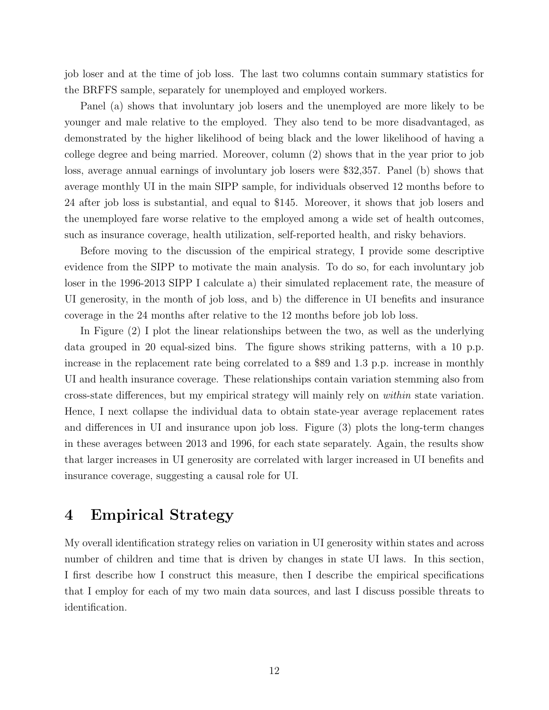job loser and at the time of job loss. The last two columns contain summary statistics for the BRFFS sample, separately for unemployed and employed workers.

Panel (a) shows that involuntary job losers and the unemployed are more likely to be younger and male relative to the employed. They also tend to be more disadvantaged, as demonstrated by the higher likelihood of being black and the lower likelihood of having a college degree and being married. Moreover, column (2) shows that in the year prior to job loss, average annual earnings of involuntary job losers were \$32,357. Panel (b) shows that average monthly UI in the main SIPP sample, for individuals observed 12 months before to 24 after job loss is substantial, and equal to \$145. Moreover, it shows that job losers and the unemployed fare worse relative to the employed among a wide set of health outcomes, such as insurance coverage, health utilization, self-reported health, and risky behaviors.

Before moving to the discussion of the empirical strategy, I provide some descriptive evidence from the SIPP to motivate the main analysis. To do so, for each involuntary job loser in the 1996-2013 SIPP I calculate a) their simulated replacement rate, the measure of UI generosity, in the month of job loss, and b) the difference in UI benefits and insurance coverage in the 24 months after relative to the 12 months before job lob loss.

In Figure (2) I plot the linear relationships between the two, as well as the underlying data grouped in 20 equal-sized bins. The figure shows striking patterns, with a 10 p.p. increase in the replacement rate being correlated to a \$89 and 1.3 p.p. increase in monthly UI and health insurance coverage. These relationships contain variation stemming also from cross-state differences, but my empirical strategy will mainly rely on within state variation. Hence, I next collapse the individual data to obtain state-year average replacement rates and differences in UI and insurance upon job loss. Figure (3) plots the long-term changes in these averages between 2013 and 1996, for each state separately. Again, the results show that larger increases in UI generosity are correlated with larger increased in UI benefits and insurance coverage, suggesting a causal role for UI.

## 4 Empirical Strategy

My overall identification strategy relies on variation in UI generosity within states and across number of children and time that is driven by changes in state UI laws. In this section, I first describe how I construct this measure, then I describe the empirical specifications that I employ for each of my two main data sources, and last I discuss possible threats to identification.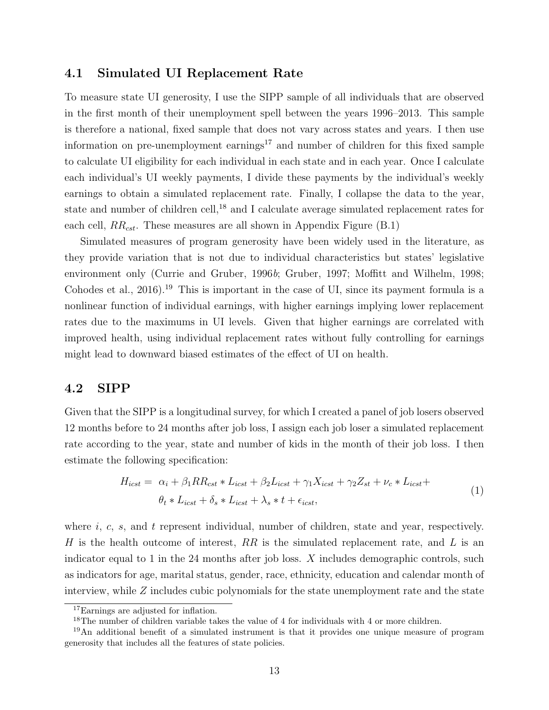## 4.1 Simulated UI Replacement Rate

To measure state UI generosity, I use the SIPP sample of all individuals that are observed in the first month of their unemployment spell between the years 1996–2013. This sample is therefore a national, fixed sample that does not vary across states and years. I then use information on pre-unemployment earnings<sup>17</sup> and number of children for this fixed sample to calculate UI eligibility for each individual in each state and in each year. Once I calculate each individual's UI weekly payments, I divide these payments by the individual's weekly earnings to obtain a simulated replacement rate. Finally, I collapse the data to the year, state and number of children cell,<sup>18</sup> and I calculate average simulated replacement rates for each cell,  $RR_{cst}$ . These measures are all shown in Appendix Figure (B.1)

Simulated measures of program generosity have been widely used in the literature, as they provide variation that is not due to individual characteristics but states' legislative environment only (Currie and Gruber, 1996b; Gruber, 1997; Moffitt and Wilhelm, 1998; Cohodes et al.,  $2016$ .<sup>19</sup> This is important in the case of UI, since its payment formula is a nonlinear function of individual earnings, with higher earnings implying lower replacement rates due to the maximums in UI levels. Given that higher earnings are correlated with improved health, using individual replacement rates without fully controlling for earnings might lead to downward biased estimates of the effect of UI on health.

## 4.2 SIPP

Given that the SIPP is a longitudinal survey, for which I created a panel of job losers observed 12 months before to 24 months after job loss, I assign each job loser a simulated replacement rate according to the year, state and number of kids in the month of their job loss. I then estimate the following specification:

$$
H_{icst} = \alpha_i + \beta_1 RR_{cst} * L_{icst} + \beta_2 L_{icst} + \gamma_1 X_{icst} + \gamma_2 Z_{st} + \nu_c * L_{icst} + \n\theta_t * L_{icst} + \delta_s * L_{icst} + \lambda_s * t + \epsilon_{icst},
$$
\n(1)

where  $i, c, s$ , and  $t$  represent individual, number of children, state and year, respectively. H is the health outcome of interest,  $RR$  is the simulated replacement rate, and L is an indicator equal to 1 in the 24 months after job loss.  $X$  includes demographic controls, such as indicators for age, marital status, gender, race, ethnicity, education and calendar month of interview, while Z includes cubic polynomials for the state unemployment rate and the state

<sup>17</sup>Earnings are adjusted for inflation.

<sup>&</sup>lt;sup>18</sup>The number of children variable takes the value of 4 for individuals with 4 or more children.

<sup>19</sup>An additional benefit of a simulated instrument is that it provides one unique measure of program generosity that includes all the features of state policies.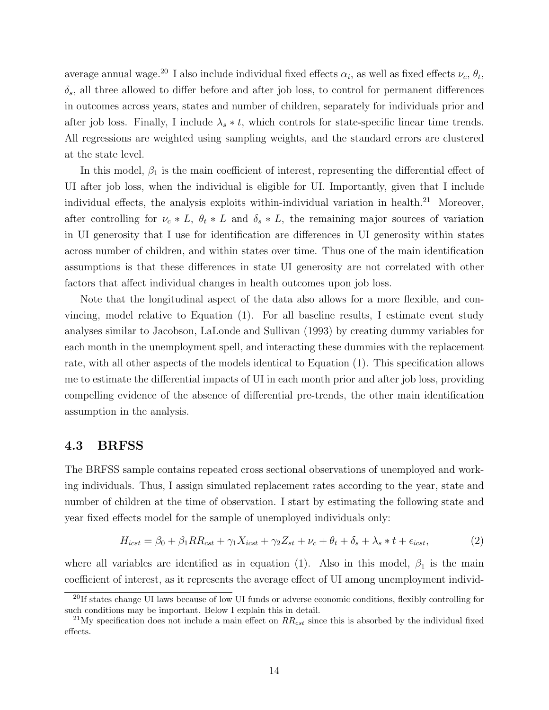average annual wage.<sup>20</sup> I also include individual fixed effects  $\alpha_i$ , as well as fixed effects  $\nu_c$ ,  $\theta_t$ ,  $\delta_s$ , all three allowed to differ before and after job loss, to control for permanent differences in outcomes across years, states and number of children, separately for individuals prior and after job loss. Finally, I include  $\lambda_s * t$ , which controls for state-specific linear time trends. All regressions are weighted using sampling weights, and the standard errors are clustered at the state level.

In this model,  $\beta_1$  is the main coefficient of interest, representing the differential effect of UI after job loss, when the individual is eligible for UI. Importantly, given that I include individual effects, the analysis exploits within-individual variation in health.<sup>21</sup> Moreover, after controlling for  $\nu_c * L$ ,  $\theta_t * L$  and  $\delta_s * L$ , the remaining major sources of variation in UI generosity that I use for identification are differences in UI generosity within states across number of children, and within states over time. Thus one of the main identification assumptions is that these differences in state UI generosity are not correlated with other factors that affect individual changes in health outcomes upon job loss.

Note that the longitudinal aspect of the data also allows for a more flexible, and convincing, model relative to Equation (1). For all baseline results, I estimate event study analyses similar to Jacobson, LaLonde and Sullivan (1993) by creating dummy variables for each month in the unemployment spell, and interacting these dummies with the replacement rate, with all other aspects of the models identical to Equation (1). This specification allows me to estimate the differential impacts of UI in each month prior and after job loss, providing compelling evidence of the absence of differential pre-trends, the other main identification assumption in the analysis.

### 4.3 BRFSS

The BRFSS sample contains repeated cross sectional observations of unemployed and working individuals. Thus, I assign simulated replacement rates according to the year, state and number of children at the time of observation. I start by estimating the following state and year fixed effects model for the sample of unemployed individuals only:

$$
H_{icst} = \beta_0 + \beta_1 RR_{cst} + \gamma_1 X_{icst} + \gamma_2 Z_{st} + \nu_c + \theta_t + \delta_s + \lambda_s * t + \epsilon_{icst},\tag{2}
$$

where all variables are identified as in equation (1). Also in this model,  $\beta_1$  is the main coefficient of interest, as it represents the average effect of UI among unemployment individ-

<sup>&</sup>lt;sup>20</sup>If states change UI laws because of low UI funds or adverse economic conditions, flexibly controlling for such conditions may be important. Below I explain this in detail.

<sup>&</sup>lt;sup>21</sup>My specification does not include a main effect on  $RR_{cst}$  since this is absorbed by the individual fixed effects.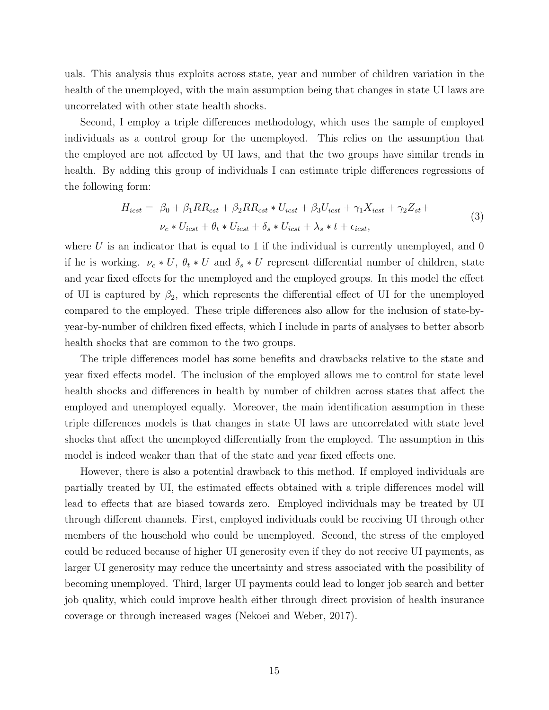uals. This analysis thus exploits across state, year and number of children variation in the health of the unemployed, with the main assumption being that changes in state UI laws are uncorrelated with other state health shocks.

Second, I employ a triple differences methodology, which uses the sample of employed individuals as a control group for the unemployed. This relies on the assumption that the employed are not affected by UI laws, and that the two groups have similar trends in health. By adding this group of individuals I can estimate triple differences regressions of the following form:

$$
H_{icst} = \beta_0 + \beta_1 RR_{cst} + \beta_2 RR_{cst} * U_{icst} + \beta_3 U_{icst} + \gamma_1 X_{icst} + \gamma_2 Z_{st} +
$$
  

$$
\nu_c * U_{icst} + \theta_t * U_{icst} + \delta_s * U_{icst} + \lambda_s * t + \epsilon_{icst},
$$

$$
(3)
$$

where  $U$  is an indicator that is equal to 1 if the individual is currently unemployed, and 0 if he is working.  $\nu_c * U$ ,  $\theta_t * U$  and  $\delta_s * U$  represent differential number of children, state and year fixed effects for the unemployed and the employed groups. In this model the effect of UI is captured by  $\beta_2$ , which represents the differential effect of UI for the unemployed compared to the employed. These triple differences also allow for the inclusion of state-byyear-by-number of children fixed effects, which I include in parts of analyses to better absorb health shocks that are common to the two groups.

The triple differences model has some benefits and drawbacks relative to the state and year fixed effects model. The inclusion of the employed allows me to control for state level health shocks and differences in health by number of children across states that affect the employed and unemployed equally. Moreover, the main identification assumption in these triple differences models is that changes in state UI laws are uncorrelated with state level shocks that affect the unemployed differentially from the employed. The assumption in this model is indeed weaker than that of the state and year fixed effects one.

However, there is also a potential drawback to this method. If employed individuals are partially treated by UI, the estimated effects obtained with a triple differences model will lead to effects that are biased towards zero. Employed individuals may be treated by UI through different channels. First, employed individuals could be receiving UI through other members of the household who could be unemployed. Second, the stress of the employed could be reduced because of higher UI generosity even if they do not receive UI payments, as larger UI generosity may reduce the uncertainty and stress associated with the possibility of becoming unemployed. Third, larger UI payments could lead to longer job search and better job quality, which could improve health either through direct provision of health insurance coverage or through increased wages (Nekoei and Weber, 2017).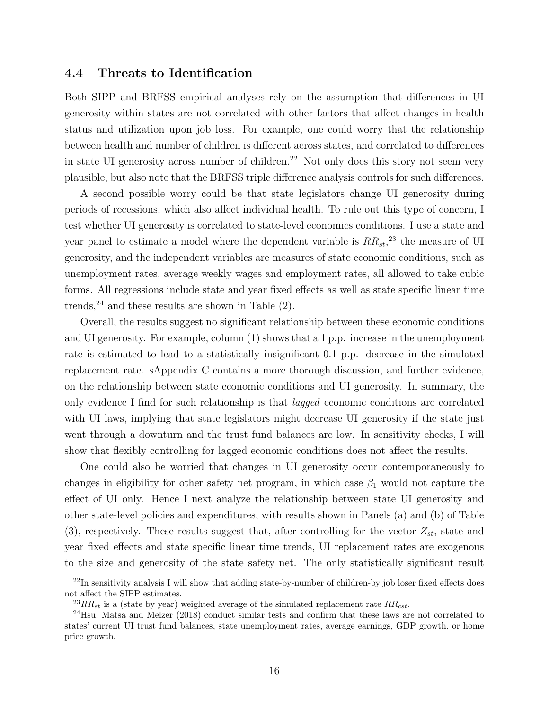## 4.4 Threats to Identification

Both SIPP and BRFSS empirical analyses rely on the assumption that differences in UI generosity within states are not correlated with other factors that affect changes in health status and utilization upon job loss. For example, one could worry that the relationship between health and number of children is different across states, and correlated to differences in state UI generosity across number of children.<sup>22</sup> Not only does this story not seem very plausible, but also note that the BRFSS triple difference analysis controls for such differences.

A second possible worry could be that state legislators change UI generosity during periods of recessions, which also affect individual health. To rule out this type of concern, I test whether UI generosity is correlated to state-level economics conditions. I use a state and year panel to estimate a model where the dependent variable is  $RR_{st}$ <sup>23</sup>, the measure of UI generosity, and the independent variables are measures of state economic conditions, such as unemployment rates, average weekly wages and employment rates, all allowed to take cubic forms. All regressions include state and year fixed effects as well as state specific linear time trends,  $24$  and these results are shown in Table (2).

Overall, the results suggest no significant relationship between these economic conditions and UI generosity. For example, column (1) shows that a 1 p.p. increase in the unemployment rate is estimated to lead to a statistically insignificant 0.1 p.p. decrease in the simulated replacement rate. sAppendix C contains a more thorough discussion, and further evidence, on the relationship between state economic conditions and UI generosity. In summary, the only evidence I find for such relationship is that lagged economic conditions are correlated with UI laws, implying that state legislators might decrease UI generosity if the state just went through a downturn and the trust fund balances are low. In sensitivity checks, I will show that flexibly controlling for lagged economic conditions does not affect the results.

One could also be worried that changes in UI generosity occur contemporaneously to changes in eligibility for other safety net program, in which case  $\beta_1$  would not capture the effect of UI only. Hence I next analyze the relationship between state UI generosity and other state-level policies and expenditures, with results shown in Panels (a) and (b) of Table (3), respectively. These results suggest that, after controlling for the vector  $Z_{st}$ , state and year fixed effects and state specific linear time trends, UI replacement rates are exogenous to the size and generosity of the state safety net. The only statistically significant result

 $^{22}$ In sensitivity analysis I will show that adding state-by-number of children-by job loser fixed effects does not affect the SIPP estimates.

<sup>&</sup>lt;sup>23</sup>RR<sub>st</sub> is a (state by year) weighted average of the simulated replacement rate  $RR_{cst}$ .

<sup>24</sup>Hsu, Matsa and Melzer (2018) conduct similar tests and confirm that these laws are not correlated to states' current UI trust fund balances, state unemployment rates, average earnings, GDP growth, or home price growth.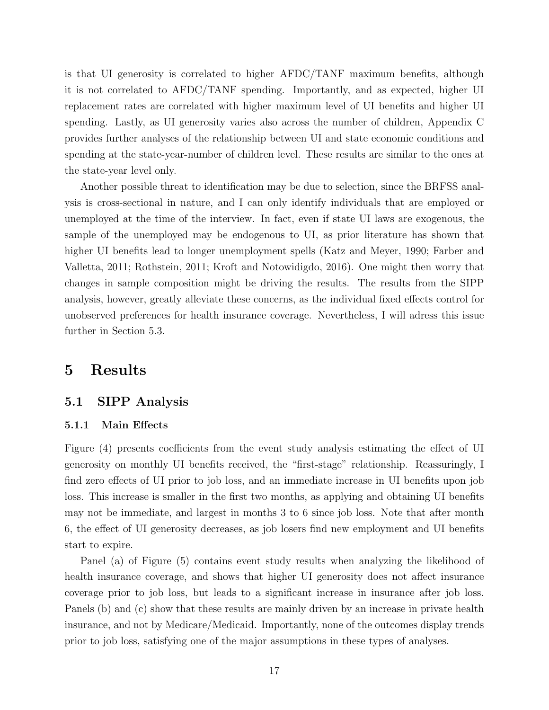is that UI generosity is correlated to higher AFDC/TANF maximum benefits, although it is not correlated to AFDC/TANF spending. Importantly, and as expected, higher UI replacement rates are correlated with higher maximum level of UI benefits and higher UI spending. Lastly, as UI generosity varies also across the number of children, Appendix C provides further analyses of the relationship between UI and state economic conditions and spending at the state-year-number of children level. These results are similar to the ones at the state-year level only.

Another possible threat to identification may be due to selection, since the BRFSS analysis is cross-sectional in nature, and I can only identify individuals that are employed or unemployed at the time of the interview. In fact, even if state UI laws are exogenous, the sample of the unemployed may be endogenous to UI, as prior literature has shown that higher UI benefits lead to longer unemployment spells (Katz and Meyer, 1990; Farber and Valletta, 2011; Rothstein, 2011; Kroft and Notowidigdo, 2016). One might then worry that changes in sample composition might be driving the results. The results from the SIPP analysis, however, greatly alleviate these concerns, as the individual fixed effects control for unobserved preferences for health insurance coverage. Nevertheless, I will adress this issue further in Section 5.3.

## 5 Results

### 5.1 SIPP Analysis

#### 5.1.1 Main Effects

Figure (4) presents coefficients from the event study analysis estimating the effect of UI generosity on monthly UI benefits received, the "first-stage" relationship. Reassuringly, I find zero effects of UI prior to job loss, and an immediate increase in UI benefits upon job loss. This increase is smaller in the first two months, as applying and obtaining UI benefits may not be immediate, and largest in months 3 to 6 since job loss. Note that after month 6, the effect of UI generosity decreases, as job losers find new employment and UI benefits start to expire.

Panel (a) of Figure (5) contains event study results when analyzing the likelihood of health insurance coverage, and shows that higher UI generosity does not affect insurance coverage prior to job loss, but leads to a significant increase in insurance after job loss. Panels (b) and (c) show that these results are mainly driven by an increase in private health insurance, and not by Medicare/Medicaid. Importantly, none of the outcomes display trends prior to job loss, satisfying one of the major assumptions in these types of analyses.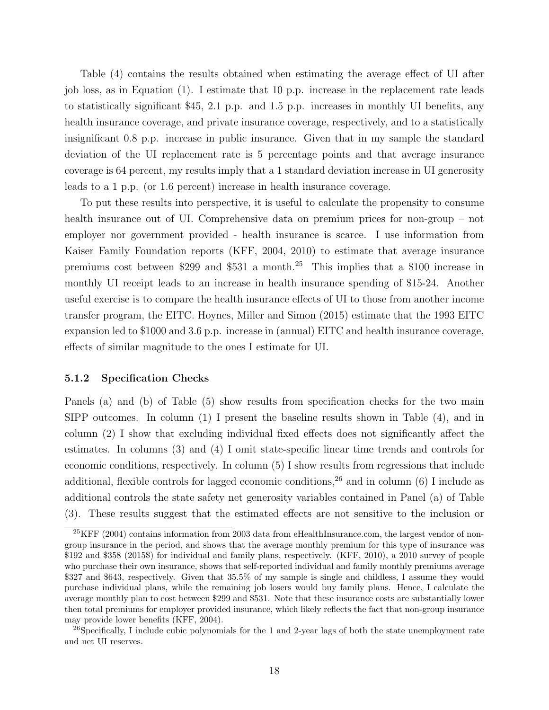Table (4) contains the results obtained when estimating the average effect of UI after job loss, as in Equation (1). I estimate that 10 p.p. increase in the replacement rate leads to statistically significant \$45, 2.1 p.p. and 1.5 p.p. increases in monthly UI benefits, any health insurance coverage, and private insurance coverage, respectively, and to a statistically insignificant 0.8 p.p. increase in public insurance. Given that in my sample the standard deviation of the UI replacement rate is 5 percentage points and that average insurance coverage is 64 percent, my results imply that a 1 standard deviation increase in UI generosity leads to a 1 p.p. (or 1.6 percent) increase in health insurance coverage.

To put these results into perspective, it is useful to calculate the propensity to consume health insurance out of UI. Comprehensive data on premium prices for non-group – not employer nor government provided - health insurance is scarce. I use information from Kaiser Family Foundation reports (KFF, 2004, 2010) to estimate that average insurance premiums cost between \$299 and \$531 a month.<sup>25</sup> This implies that a \$100 increase in monthly UI receipt leads to an increase in health insurance spending of \$15-24. Another useful exercise is to compare the health insurance effects of UI to those from another income transfer program, the EITC. Hoynes, Miller and Simon (2015) estimate that the 1993 EITC expansion led to \$1000 and 3.6 p.p. increase in (annual) EITC and health insurance coverage, effects of similar magnitude to the ones I estimate for UI.

#### 5.1.2 Specification Checks

Panels (a) and (b) of Table (5) show results from specification checks for the two main SIPP outcomes. In column (1) I present the baseline results shown in Table (4), and in column (2) I show that excluding individual fixed effects does not significantly affect the estimates. In columns (3) and (4) I omit state-specific linear time trends and controls for economic conditions, respectively. In column (5) I show results from regressions that include additional, flexible controls for lagged economic conditions,  $2<sup>6</sup>$  and in column (6) I include as additional controls the state safety net generosity variables contained in Panel (a) of Table (3). These results suggest that the estimated effects are not sensitive to the inclusion or

 $^{25}$ KFF (2004) contains information from 2003 data from eHealthInsurance.com, the largest vendor of nongroup insurance in the period, and shows that the average monthly premium for this type of insurance was \$192 and \$358 (2015\$) for individual and family plans, respectively. (KFF, 2010), a 2010 survey of people who purchase their own insurance, shows that self-reported individual and family monthly premiums average \$327 and \$643, respectively. Given that 35.5% of my sample is single and childless, I assume they would purchase individual plans, while the remaining job losers would buy family plans. Hence, I calculate the average monthly plan to cost between \$299 and \$531. Note that these insurance costs are substantially lower then total premiums for employer provided insurance, which likely reflects the fact that non-group insurance may provide lower benefits (KFF, 2004).

 $^{26}$ Specifically, I include cubic polynomials for the 1 and 2-year lags of both the state unemployment rate and net UI reserves.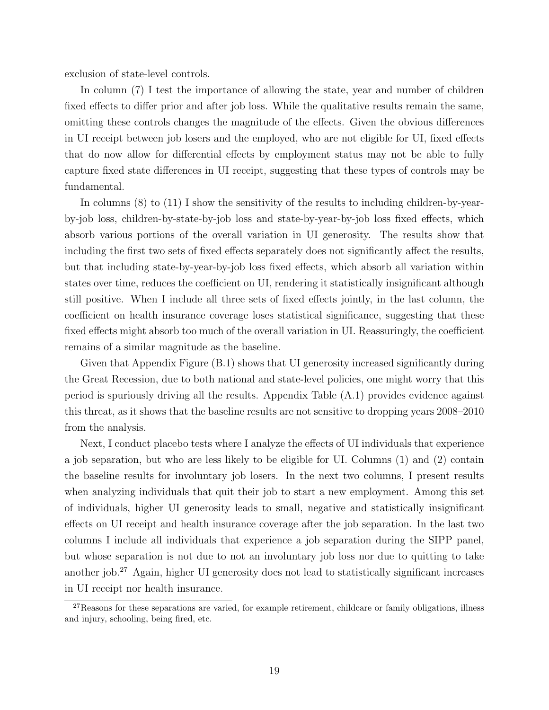exclusion of state-level controls.

In column (7) I test the importance of allowing the state, year and number of children fixed effects to differ prior and after job loss. While the qualitative results remain the same, omitting these controls changes the magnitude of the effects. Given the obvious differences in UI receipt between job losers and the employed, who are not eligible for UI, fixed effects that do now allow for differential effects by employment status may not be able to fully capture fixed state differences in UI receipt, suggesting that these types of controls may be fundamental.

In columns (8) to (11) I show the sensitivity of the results to including children-by-yearby-job loss, children-by-state-by-job loss and state-by-year-by-job loss fixed effects, which absorb various portions of the overall variation in UI generosity. The results show that including the first two sets of fixed effects separately does not significantly affect the results, but that including state-by-year-by-job loss fixed effects, which absorb all variation within states over time, reduces the coefficient on UI, rendering it statistically insignificant although still positive. When I include all three sets of fixed effects jointly, in the last column, the coefficient on health insurance coverage loses statistical significance, suggesting that these fixed effects might absorb too much of the overall variation in UI. Reassuringly, the coefficient remains of a similar magnitude as the baseline.

Given that Appendix Figure (B.1) shows that UI generosity increased significantly during the Great Recession, due to both national and state-level policies, one might worry that this period is spuriously driving all the results. Appendix Table (A.1) provides evidence against this threat, as it shows that the baseline results are not sensitive to dropping years 2008–2010 from the analysis.

Next, I conduct placebo tests where I analyze the effects of UI individuals that experience a job separation, but who are less likely to be eligible for UI. Columns (1) and (2) contain the baseline results for involuntary job losers. In the next two columns, I present results when analyzing individuals that quit their job to start a new employment. Among this set of individuals, higher UI generosity leads to small, negative and statistically insignificant effects on UI receipt and health insurance coverage after the job separation. In the last two columns I include all individuals that experience a job separation during the SIPP panel, but whose separation is not due to not an involuntary job loss nor due to quitting to take another job.<sup>27</sup> Again, higher UI generosity does not lead to statistically significant increases in UI receipt nor health insurance.

 $27$ Reasons for these separations are varied, for example retirement, childcare or family obligations, illness and injury, schooling, being fired, etc.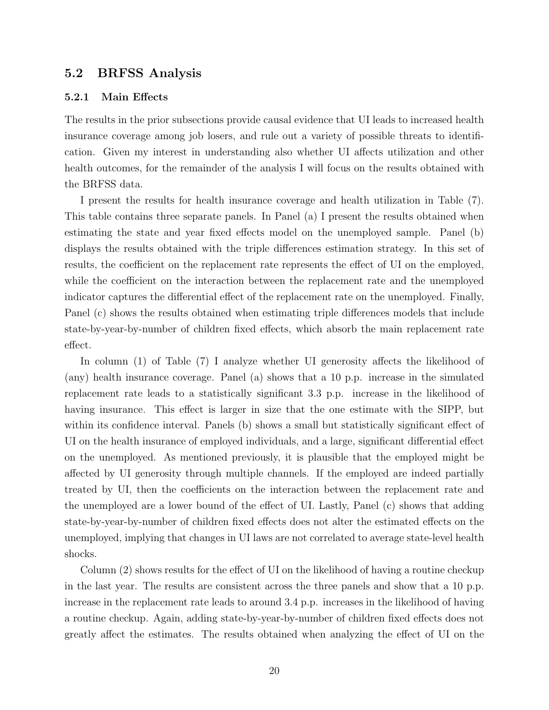### 5.2 BRFSS Analysis

#### 5.2.1 Main Effects

The results in the prior subsections provide causal evidence that UI leads to increased health insurance coverage among job losers, and rule out a variety of possible threats to identification. Given my interest in understanding also whether UI affects utilization and other health outcomes, for the remainder of the analysis I will focus on the results obtained with the BRFSS data.

I present the results for health insurance coverage and health utilization in Table (7). This table contains three separate panels. In Panel (a) I present the results obtained when estimating the state and year fixed effects model on the unemployed sample. Panel (b) displays the results obtained with the triple differences estimation strategy. In this set of results, the coefficient on the replacement rate represents the effect of UI on the employed, while the coefficient on the interaction between the replacement rate and the unemployed indicator captures the differential effect of the replacement rate on the unemployed. Finally, Panel (c) shows the results obtained when estimating triple differences models that include state-by-year-by-number of children fixed effects, which absorb the main replacement rate effect.

In column (1) of Table (7) I analyze whether UI generosity affects the likelihood of (any) health insurance coverage. Panel (a) shows that a 10 p.p. increase in the simulated replacement rate leads to a statistically significant 3.3 p.p. increase in the likelihood of having insurance. This effect is larger in size that the one estimate with the SIPP, but within its confidence interval. Panels (b) shows a small but statistically significant effect of UI on the health insurance of employed individuals, and a large, significant differential effect on the unemployed. As mentioned previously, it is plausible that the employed might be affected by UI generosity through multiple channels. If the employed are indeed partially treated by UI, then the coefficients on the interaction between the replacement rate and the unemployed are a lower bound of the effect of UI. Lastly, Panel (c) shows that adding state-by-year-by-number of children fixed effects does not alter the estimated effects on the unemployed, implying that changes in UI laws are not correlated to average state-level health shocks.

Column (2) shows results for the effect of UI on the likelihood of having a routine checkup in the last year. The results are consistent across the three panels and show that a 10 p.p. increase in the replacement rate leads to around 3.4 p.p. increases in the likelihood of having a routine checkup. Again, adding state-by-year-by-number of children fixed effects does not greatly affect the estimates. The results obtained when analyzing the effect of UI on the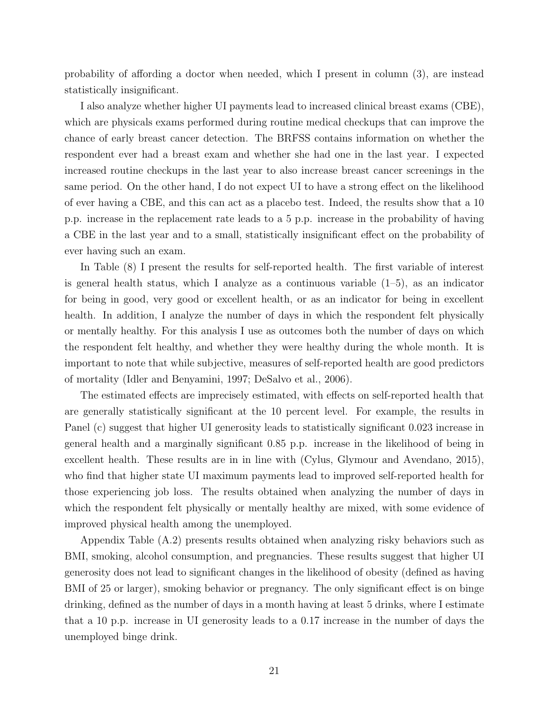probability of affording a doctor when needed, which I present in column (3), are instead statistically insignificant.

I also analyze whether higher UI payments lead to increased clinical breast exams (CBE), which are physicals exams performed during routine medical checkups that can improve the chance of early breast cancer detection. The BRFSS contains information on whether the respondent ever had a breast exam and whether she had one in the last year. I expected increased routine checkups in the last year to also increase breast cancer screenings in the same period. On the other hand, I do not expect UI to have a strong effect on the likelihood of ever having a CBE, and this can act as a placebo test. Indeed, the results show that a 10 p.p. increase in the replacement rate leads to a 5 p.p. increase in the probability of having a CBE in the last year and to a small, statistically insignificant effect on the probability of ever having such an exam.

In Table (8) I present the results for self-reported health. The first variable of interest is general health status, which I analyze as a continuous variable (1–5), as an indicator for being in good, very good or excellent health, or as an indicator for being in excellent health. In addition, I analyze the number of days in which the respondent felt physically or mentally healthy. For this analysis I use as outcomes both the number of days on which the respondent felt healthy, and whether they were healthy during the whole month. It is important to note that while subjective, measures of self-reported health are good predictors of mortality (Idler and Benyamini, 1997; DeSalvo et al., 2006).

The estimated effects are imprecisely estimated, with effects on self-reported health that are generally statistically significant at the 10 percent level. For example, the results in Panel (c) suggest that higher UI generosity leads to statistically significant 0.023 increase in general health and a marginally significant 0.85 p.p. increase in the likelihood of being in excellent health. These results are in in line with (Cylus, Glymour and Avendano, 2015), who find that higher state UI maximum payments lead to improved self-reported health for those experiencing job loss. The results obtained when analyzing the number of days in which the respondent felt physically or mentally healthy are mixed, with some evidence of improved physical health among the unemployed.

Appendix Table (A.2) presents results obtained when analyzing risky behaviors such as BMI, smoking, alcohol consumption, and pregnancies. These results suggest that higher UI generosity does not lead to significant changes in the likelihood of obesity (defined as having BMI of 25 or larger), smoking behavior or pregnancy. The only significant effect is on binge drinking, defined as the number of days in a month having at least 5 drinks, where I estimate that a 10 p.p. increase in UI generosity leads to a 0.17 increase in the number of days the unemployed binge drink.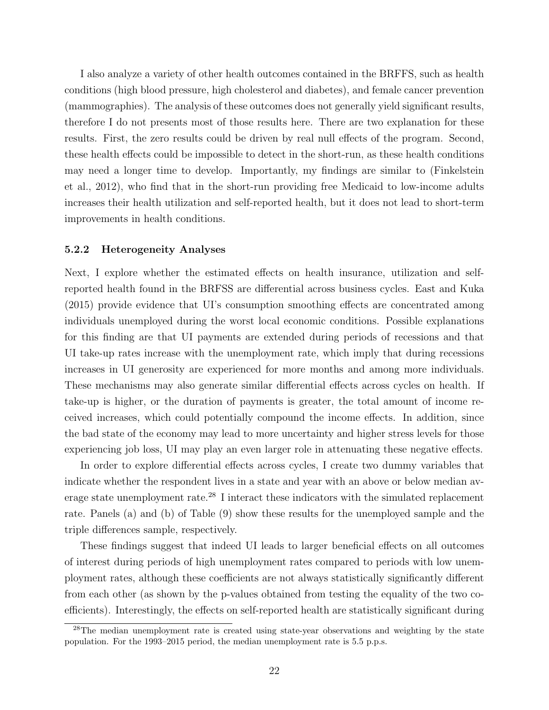I also analyze a variety of other health outcomes contained in the BRFFS, such as health conditions (high blood pressure, high cholesterol and diabetes), and female cancer prevention (mammographies). The analysis of these outcomes does not generally yield significant results, therefore I do not presents most of those results here. There are two explanation for these results. First, the zero results could be driven by real null effects of the program. Second, these health effects could be impossible to detect in the short-run, as these health conditions may need a longer time to develop. Importantly, my findings are similar to (Finkelstein et al., 2012), who find that in the short-run providing free Medicaid to low-income adults increases their health utilization and self-reported health, but it does not lead to short-term improvements in health conditions.

#### 5.2.2 Heterogeneity Analyses

Next, I explore whether the estimated effects on health insurance, utilization and selfreported health found in the BRFSS are differential across business cycles. East and Kuka (2015) provide evidence that UI's consumption smoothing effects are concentrated among individuals unemployed during the worst local economic conditions. Possible explanations for this finding are that UI payments are extended during periods of recessions and that UI take-up rates increase with the unemployment rate, which imply that during recessions increases in UI generosity are experienced for more months and among more individuals. These mechanisms may also generate similar differential effects across cycles on health. If take-up is higher, or the duration of payments is greater, the total amount of income received increases, which could potentially compound the income effects. In addition, since the bad state of the economy may lead to more uncertainty and higher stress levels for those experiencing job loss, UI may play an even larger role in attenuating these negative effects.

In order to explore differential effects across cycles, I create two dummy variables that indicate whether the respondent lives in a state and year with an above or below median average state unemployment rate.<sup>28</sup> I interact these indicators with the simulated replacement rate. Panels (a) and (b) of Table (9) show these results for the unemployed sample and the triple differences sample, respectively.

These findings suggest that indeed UI leads to larger beneficial effects on all outcomes of interest during periods of high unemployment rates compared to periods with low unemployment rates, although these coefficients are not always statistically significantly different from each other (as shown by the p-values obtained from testing the equality of the two coefficients). Interestingly, the effects on self-reported health are statistically significant during

<sup>&</sup>lt;sup>28</sup>The median unemployment rate is created using state-year observations and weighting by the state population. For the 1993–2015 period, the median unemployment rate is 5.5 p.p.s.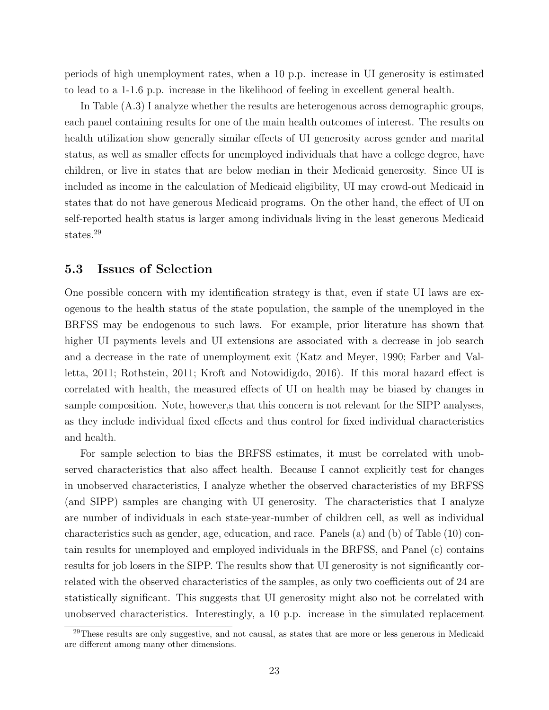periods of high unemployment rates, when a 10 p.p. increase in UI generosity is estimated to lead to a 1-1.6 p.p. increase in the likelihood of feeling in excellent general health.

In Table (A.3) I analyze whether the results are heterogenous across demographic groups, each panel containing results for one of the main health outcomes of interest. The results on health utilization show generally similar effects of UI generosity across gender and marital status, as well as smaller effects for unemployed individuals that have a college degree, have children, or live in states that are below median in their Medicaid generosity. Since UI is included as income in the calculation of Medicaid eligibility, UI may crowd-out Medicaid in states that do not have generous Medicaid programs. On the other hand, the effect of UI on self-reported health status is larger among individuals living in the least generous Medicaid states.<sup>29</sup>

### 5.3 Issues of Selection

One possible concern with my identification strategy is that, even if state UI laws are exogenous to the health status of the state population, the sample of the unemployed in the BRFSS may be endogenous to such laws. For example, prior literature has shown that higher UI payments levels and UI extensions are associated with a decrease in job search and a decrease in the rate of unemployment exit (Katz and Meyer, 1990; Farber and Valletta, 2011; Rothstein, 2011; Kroft and Notowidigdo, 2016). If this moral hazard effect is correlated with health, the measured effects of UI on health may be biased by changes in sample composition. Note, however,s that this concern is not relevant for the SIPP analyses, as they include individual fixed effects and thus control for fixed individual characteristics and health.

For sample selection to bias the BRFSS estimates, it must be correlated with unobserved characteristics that also affect health. Because I cannot explicitly test for changes in unobserved characteristics, I analyze whether the observed characteristics of my BRFSS (and SIPP) samples are changing with UI generosity. The characteristics that I analyze are number of individuals in each state-year-number of children cell, as well as individual characteristics such as gender, age, education, and race. Panels (a) and (b) of Table (10) contain results for unemployed and employed individuals in the BRFSS, and Panel (c) contains results for job losers in the SIPP. The results show that UI generosity is not significantly correlated with the observed characteristics of the samples, as only two coefficients out of 24 are statistically significant. This suggests that UI generosity might also not be correlated with unobserved characteristics. Interestingly, a 10 p.p. increase in the simulated replacement

<sup>&</sup>lt;sup>29</sup>These results are only suggestive, and not causal, as states that are more or less generous in Medicaid are different among many other dimensions.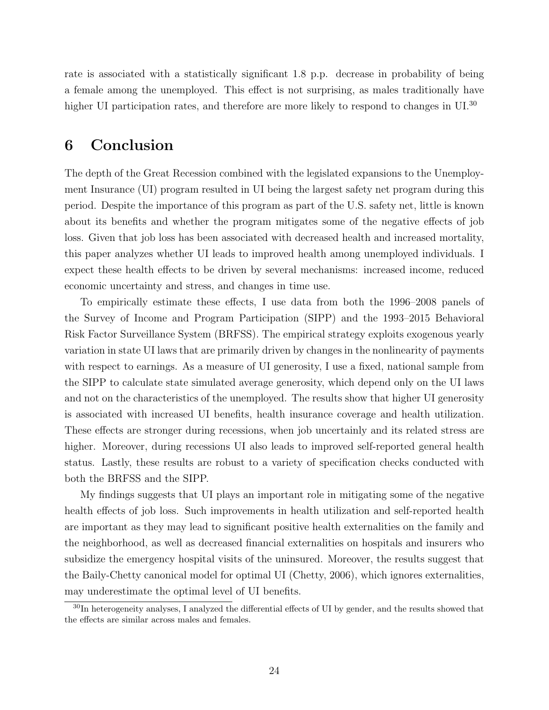rate is associated with a statistically significant 1.8 p.p. decrease in probability of being a female among the unemployed. This effect is not surprising, as males traditionally have higher UI participation rates, and therefore are more likely to respond to changes in UI.<sup>30</sup>

## 6 Conclusion

The depth of the Great Recession combined with the legislated expansions to the Unemployment Insurance (UI) program resulted in UI being the largest safety net program during this period. Despite the importance of this program as part of the U.S. safety net, little is known about its benefits and whether the program mitigates some of the negative effects of job loss. Given that job loss has been associated with decreased health and increased mortality, this paper analyzes whether UI leads to improved health among unemployed individuals. I expect these health effects to be driven by several mechanisms: increased income, reduced economic uncertainty and stress, and changes in time use.

To empirically estimate these effects, I use data from both the 1996–2008 panels of the Survey of Income and Program Participation (SIPP) and the 1993–2015 Behavioral Risk Factor Surveillance System (BRFSS). The empirical strategy exploits exogenous yearly variation in state UI laws that are primarily driven by changes in the nonlinearity of payments with respect to earnings. As a measure of UI generosity, I use a fixed, national sample from the SIPP to calculate state simulated average generosity, which depend only on the UI laws and not on the characteristics of the unemployed. The results show that higher UI generosity is associated with increased UI benefits, health insurance coverage and health utilization. These effects are stronger during recessions, when job uncertainly and its related stress are higher. Moreover, during recessions UI also leads to improved self-reported general health status. Lastly, these results are robust to a variety of specification checks conducted with both the BRFSS and the SIPP.

My findings suggests that UI plays an important role in mitigating some of the negative health effects of job loss. Such improvements in health utilization and self-reported health are important as they may lead to significant positive health externalities on the family and the neighborhood, as well as decreased financial externalities on hospitals and insurers who subsidize the emergency hospital visits of the uninsured. Moreover, the results suggest that the Baily-Chetty canonical model for optimal UI (Chetty, 2006), which ignores externalities, may underestimate the optimal level of UI benefits.

<sup>30</sup>In heterogeneity analyses, I analyzed the differential effects of UI by gender, and the results showed that the effects are similar across males and females.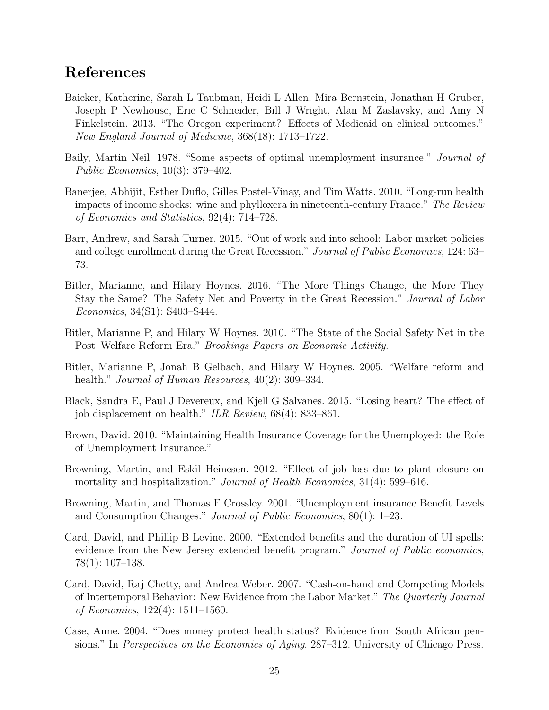# References

- Baicker, Katherine, Sarah L Taubman, Heidi L Allen, Mira Bernstein, Jonathan H Gruber, Joseph P Newhouse, Eric C Schneider, Bill J Wright, Alan M Zaslavsky, and Amy N Finkelstein. 2013. "The Oregon experiment? Effects of Medicaid on clinical outcomes." New England Journal of Medicine, 368(18): 1713–1722.
- Baily, Martin Neil. 1978. "Some aspects of optimal unemployment insurance." *Journal of* Public Economics, 10(3): 379–402.
- Banerjee, Abhijit, Esther Duflo, Gilles Postel-Vinay, and Tim Watts. 2010. "Long-run health impacts of income shocks: wine and phylloxera in nineteenth-century France." The Review of Economics and Statistics, 92(4): 714–728.
- Barr, Andrew, and Sarah Turner. 2015. "Out of work and into school: Labor market policies and college enrollment during the Great Recession." Journal of Public Economics, 124: 63– 73.
- Bitler, Marianne, and Hilary Hoynes. 2016. "The More Things Change, the More They Stay the Same? The Safety Net and Poverty in the Great Recession." Journal of Labor Economics, 34(S1): S403–S444.
- Bitler, Marianne P, and Hilary W Hoynes. 2010. "The State of the Social Safety Net in the Post–Welfare Reform Era." Brookings Papers on Economic Activity.
- Bitler, Marianne P, Jonah B Gelbach, and Hilary W Hoynes. 2005. "Welfare reform and health." *Journal of Human Resources*, 40(2): 309–334.
- Black, Sandra E, Paul J Devereux, and Kjell G Salvanes. 2015. "Losing heart? The effect of job displacement on health." ILR Review, 68(4): 833–861.
- Brown, David. 2010. "Maintaining Health Insurance Coverage for the Unemployed: the Role of Unemployment Insurance."
- Browning, Martin, and Eskil Heinesen. 2012. "Effect of job loss due to plant closure on mortality and hospitalization." *Journal of Health Economics*, 31(4): 599–616.
- Browning, Martin, and Thomas F Crossley. 2001. "Unemployment insurance Benefit Levels and Consumption Changes." Journal of Public Economics, 80(1): 1–23.
- Card, David, and Phillip B Levine. 2000. "Extended benefits and the duration of UI spells: evidence from the New Jersey extended benefit program." *Journal of Public economics*, 78(1): 107–138.
- Card, David, Raj Chetty, and Andrea Weber. 2007. "Cash-on-hand and Competing Models of Intertemporal Behavior: New Evidence from the Labor Market." The Quarterly Journal of Economics, 122(4): 1511–1560.
- Case, Anne. 2004. "Does money protect health status? Evidence from South African pensions." In *Perspectives on the Economics of Aging.* 287–312. University of Chicago Press.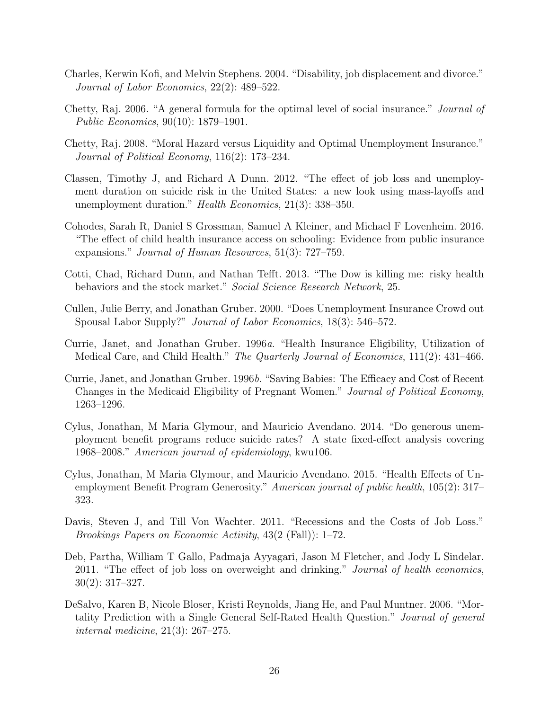- Charles, Kerwin Kofi, and Melvin Stephens. 2004. "Disability, job displacement and divorce." Journal of Labor Economics, 22(2): 489–522.
- Chetty, Raj. 2006. "A general formula for the optimal level of social insurance." Journal of Public Economics, 90(10): 1879–1901.
- Chetty, Raj. 2008. "Moral Hazard versus Liquidity and Optimal Unemployment Insurance." Journal of Political Economy, 116(2): 173–234.
- Classen, Timothy J, and Richard A Dunn. 2012. "The effect of job loss and unemployment duration on suicide risk in the United States: a new look using mass-layoffs and unemployment duration." Health Economics, 21(3): 338–350.
- Cohodes, Sarah R, Daniel S Grossman, Samuel A Kleiner, and Michael F Lovenheim. 2016. "The effect of child health insurance access on schooling: Evidence from public insurance expansions." Journal of Human Resources, 51(3): 727–759.
- Cotti, Chad, Richard Dunn, and Nathan Tefft. 2013. "The Dow is killing me: risky health behaviors and the stock market." Social Science Research Network, 25.
- Cullen, Julie Berry, and Jonathan Gruber. 2000. "Does Unemployment Insurance Crowd out Spousal Labor Supply?" Journal of Labor Economics, 18(3): 546–572.
- Currie, Janet, and Jonathan Gruber. 1996a. "Health Insurance Eligibility, Utilization of Medical Care, and Child Health." The Quarterly Journal of Economics, 111(2): 431–466.
- Currie, Janet, and Jonathan Gruber. 1996b. "Saving Babies: The Efficacy and Cost of Recent Changes in the Medicaid Eligibility of Pregnant Women." Journal of Political Economy, 1263–1296.
- Cylus, Jonathan, M Maria Glymour, and Mauricio Avendano. 2014. "Do generous unemployment benefit programs reduce suicide rates? A state fixed-effect analysis covering 1968–2008." American journal of epidemiology, kwu106.
- Cylus, Jonathan, M Maria Glymour, and Mauricio Avendano. 2015. "Health Effects of Unemployment Benefit Program Generosity." American journal of public health, 105(2): 317– 323.
- Davis, Steven J, and Till Von Wachter. 2011. "Recessions and the Costs of Job Loss." Brookings Papers on Economic Activity, 43(2 (Fall)): 1–72.
- Deb, Partha, William T Gallo, Padmaja Ayyagari, Jason M Fletcher, and Jody L Sindelar. 2011. "The effect of job loss on overweight and drinking." Journal of health economics, 30(2): 317–327.
- DeSalvo, Karen B, Nicole Bloser, Kristi Reynolds, Jiang He, and Paul Muntner. 2006. "Mortality Prediction with a Single General Self-Rated Health Question." Journal of general internal medicine, 21(3): 267–275.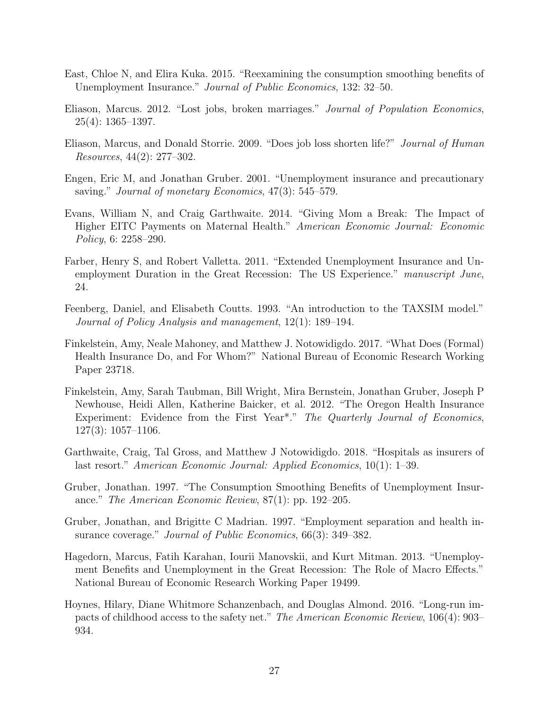- East, Chloe N, and Elira Kuka. 2015. "Reexamining the consumption smoothing benefits of Unemployment Insurance." Journal of Public Economics, 132: 32–50.
- Eliason, Marcus. 2012. "Lost jobs, broken marriages." Journal of Population Economics,  $25(4): 1365 - 1397.$
- Eliason, Marcus, and Donald Storrie. 2009. "Does job loss shorten life?" Journal of Human Resources, 44(2): 277–302.
- Engen, Eric M, and Jonathan Gruber. 2001. "Unemployment insurance and precautionary saving." *Journal of monetary Economics*, 47(3): 545–579.
- Evans, William N, and Craig Garthwaite. 2014. "Giving Mom a Break: The Impact of Higher EITC Payments on Maternal Health." American Economic Journal: Economic Policy, 6: 2258–290.
- Farber, Henry S, and Robert Valletta. 2011. "Extended Unemployment Insurance and Unemployment Duration in the Great Recession: The US Experience." manuscript June, 24.
- Feenberg, Daniel, and Elisabeth Coutts. 1993. "An introduction to the TAXSIM model." Journal of Policy Analysis and management, 12(1): 189–194.
- Finkelstein, Amy, Neale Mahoney, and Matthew J. Notowidigdo. 2017. "What Does (Formal) Health Insurance Do, and For Whom?" National Bureau of Economic Research Working Paper 23718.
- Finkelstein, Amy, Sarah Taubman, Bill Wright, Mira Bernstein, Jonathan Gruber, Joseph P Newhouse, Heidi Allen, Katherine Baicker, et al. 2012. "The Oregon Health Insurance Experiment: Evidence from the First Year<sup>\*</sup>." The Quarterly Journal of Economics, 127(3): 1057–1106.
- Garthwaite, Craig, Tal Gross, and Matthew J Notowidigdo. 2018. "Hospitals as insurers of last resort." American Economic Journal: Applied Economics, 10(1): 1–39.
- Gruber, Jonathan. 1997. "The Consumption Smoothing Benefits of Unemployment Insurance." The American Economic Review, 87(1): pp. 192–205.
- Gruber, Jonathan, and Brigitte C Madrian. 1997. "Employment separation and health insurance coverage." *Journal of Public Economics*, 66(3): 349–382.
- Hagedorn, Marcus, Fatih Karahan, Iourii Manovskii, and Kurt Mitman. 2013. "Unemployment Benefits and Unemployment in the Great Recession: The Role of Macro Effects." National Bureau of Economic Research Working Paper 19499.
- Hoynes, Hilary, Diane Whitmore Schanzenbach, and Douglas Almond. 2016. "Long-run impacts of childhood access to the safety net." The American Economic Review, 106(4): 903– 934.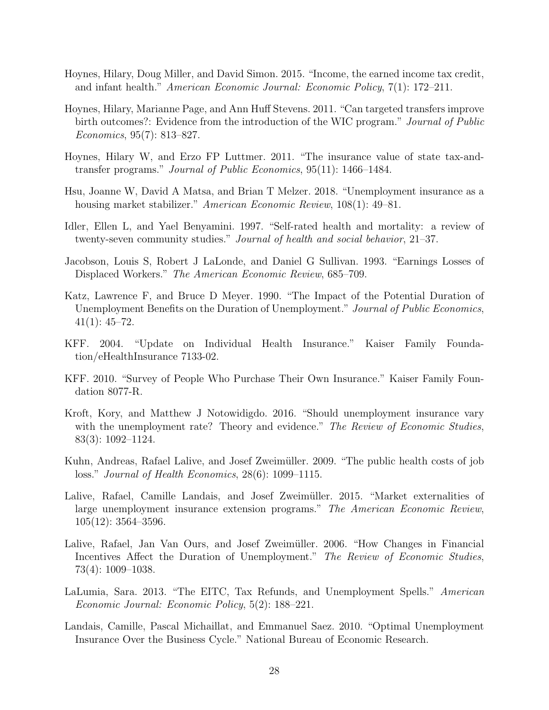- Hoynes, Hilary, Doug Miller, and David Simon. 2015. "Income, the earned income tax credit, and infant health." American Economic Journal: Economic Policy, 7(1): 172–211.
- Hoynes, Hilary, Marianne Page, and Ann Huff Stevens. 2011. "Can targeted transfers improve birth outcomes?: Evidence from the introduction of the WIC program." Journal of Public Economics, 95(7): 813–827.
- Hoynes, Hilary W, and Erzo FP Luttmer. 2011. "The insurance value of state tax-andtransfer programs." Journal of Public Economics, 95(11): 1466–1484.
- Hsu, Joanne W, David A Matsa, and Brian T Melzer. 2018. "Unemployment insurance as a housing market stabilizer." American Economic Review, 108(1): 49–81.
- Idler, Ellen L, and Yael Benyamini. 1997. "Self-rated health and mortality: a review of twenty-seven community studies." Journal of health and social behavior, 21–37.
- Jacobson, Louis S, Robert J LaLonde, and Daniel G Sullivan. 1993. "Earnings Losses of Displaced Workers." The American Economic Review, 685–709.
- Katz, Lawrence F, and Bruce D Meyer. 1990. "The Impact of the Potential Duration of Unemployment Benefits on the Duration of Unemployment." Journal of Public Economics,  $41(1): 45-72.$
- KFF. 2004. "Update on Individual Health Insurance." Kaiser Family Foundation/eHealthInsurance 7133-02.
- KFF. 2010. "Survey of People Who Purchase Their Own Insurance." Kaiser Family Foundation 8077-R.
- Kroft, Kory, and Matthew J Notowidigdo. 2016. "Should unemployment insurance vary with the unemployment rate? Theory and evidence." The Review of Economic Studies, 83(3): 1092–1124.
- Kuhn, Andreas, Rafael Lalive, and Josef Zweimüller. 2009. "The public health costs of job loss." Journal of Health Economics, 28(6): 1099–1115.
- Lalive, Rafael, Camille Landais, and Josef Zweimüller. 2015. "Market externalities of large unemployment insurance extension programs." The American Economic Review, 105(12): 3564–3596.
- Lalive, Rafael, Jan Van Ours, and Josef Zweimüller. 2006. "How Changes in Financial Incentives Affect the Duration of Unemployment." The Review of Economic Studies, 73(4): 1009–1038.
- LaLumia, Sara. 2013. "The EITC, Tax Refunds, and Unemployment Spells." American Economic Journal: Economic Policy, 5(2): 188–221.
- Landais, Camille, Pascal Michaillat, and Emmanuel Saez. 2010. "Optimal Unemployment Insurance Over the Business Cycle." National Bureau of Economic Research.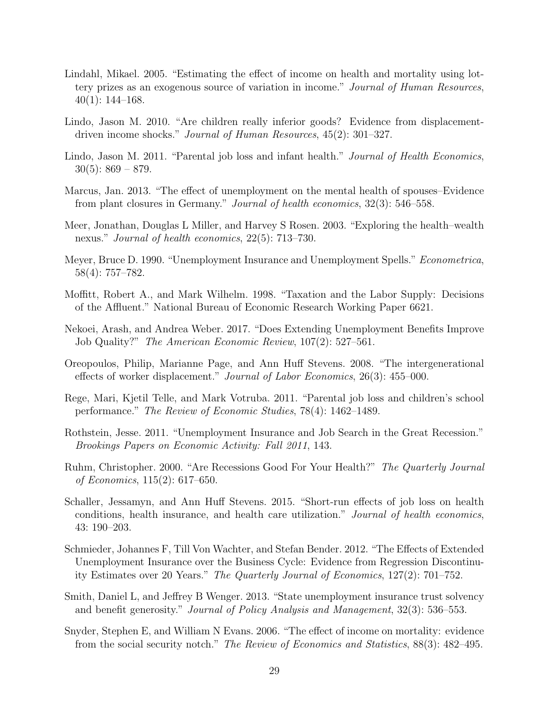- Lindahl, Mikael. 2005. "Estimating the effect of income on health and mortality using lottery prizes as an exogenous source of variation in income." Journal of Human Resources,  $40(1)$ : 144–168.
- Lindo, Jason M. 2010. "Are children really inferior goods? Evidence from displacementdriven income shocks." Journal of Human Resources, 45(2): 301–327.
- Lindo, Jason M. 2011. "Parental job loss and infant health." Journal of Health Economics,  $30(5): 869 - 879.$
- Marcus, Jan. 2013. "The effect of unemployment on the mental health of spouses–Evidence from plant closures in Germany." Journal of health economics, 32(3): 546–558.
- Meer, Jonathan, Douglas L Miller, and Harvey S Rosen. 2003. "Exploring the health–wealth nexus." Journal of health economics, 22(5): 713–730.
- Meyer, Bruce D. 1990. "Unemployment Insurance and Unemployment Spells." Econometrica, 58(4): 757–782.
- Moffitt, Robert A., and Mark Wilhelm. 1998. "Taxation and the Labor Supply: Decisions of the Affluent." National Bureau of Economic Research Working Paper 6621.
- Nekoei, Arash, and Andrea Weber. 2017. "Does Extending Unemployment Benefits Improve Job Quality?" The American Economic Review, 107(2): 527–561.
- Oreopoulos, Philip, Marianne Page, and Ann Huff Stevens. 2008. "The intergenerational effects of worker displacement." Journal of Labor Economics, 26(3): 455–000.
- Rege, Mari, Kjetil Telle, and Mark Votruba. 2011. "Parental job loss and children's school performance." The Review of Economic Studies, 78(4): 1462–1489.
- Rothstein, Jesse. 2011. "Unemployment Insurance and Job Search in the Great Recession." Brookings Papers on Economic Activity: Fall 2011, 143.
- Ruhm, Christopher. 2000. "Are Recessions Good For Your Health?" The Quarterly Journal of Economics, 115(2): 617–650.
- Schaller, Jessamyn, and Ann Huff Stevens. 2015. "Short-run effects of job loss on health conditions, health insurance, and health care utilization." Journal of health economics, 43: 190–203.
- Schmieder, Johannes F, Till Von Wachter, and Stefan Bender. 2012. "The Effects of Extended Unemployment Insurance over the Business Cycle: Evidence from Regression Discontinuity Estimates over 20 Years." The Quarterly Journal of Economics, 127(2): 701–752.
- Smith, Daniel L, and Jeffrey B Wenger. 2013. "State unemployment insurance trust solvency and benefit generosity." Journal of Policy Analysis and Management, 32(3): 536–553.
- Snyder, Stephen E, and William N Evans. 2006. "The effect of income on mortality: evidence from the social security notch." The Review of Economics and Statistics, 88(3): 482-495.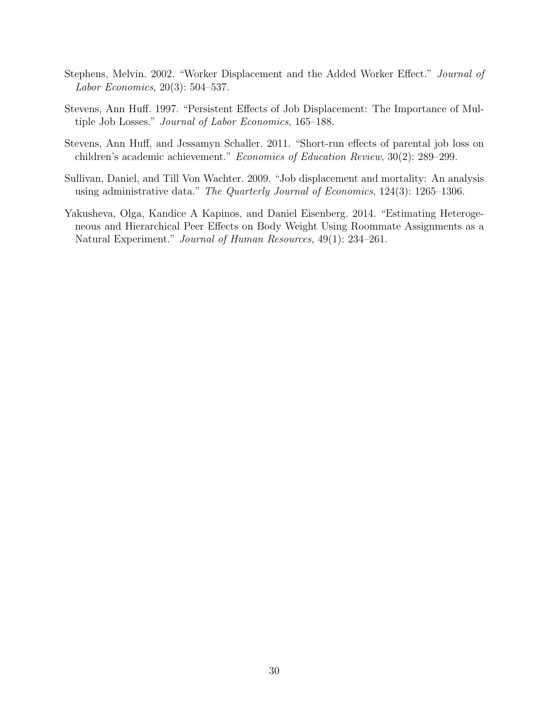- Stephens, Melvin. 2002. "Worker Displacement and the Added Worker Effect." Journal of Labor Economics, 20(3): 504–537.
- Stevens, Ann Huff. 1997. "Persistent Effects of Job Displacement: The Importance of Multiple Job Losses." Journal of Labor Economics, 165–188.
- Stevens, Ann Huff, and Jessamyn Schaller. 2011. "Short-run effects of parental job loss on children's academic achievement." Economics of Education Review, 30(2): 289–299.
- Sullivan, Daniel, and Till Von Wachter. 2009. "Job displacement and mortality: An analysis using administrative data." The Quarterly Journal of Economics, 124(3): 1265–1306.
- Yakusheva, Olga, Kandice A Kapinos, and Daniel Eisenberg. 2014. "Estimating Heterogeneous and Hierarchical Peer Effects on Body Weight Using Roommate Assignments as a Natural Experiment." Journal of Human Resources, 49(1): 234–261.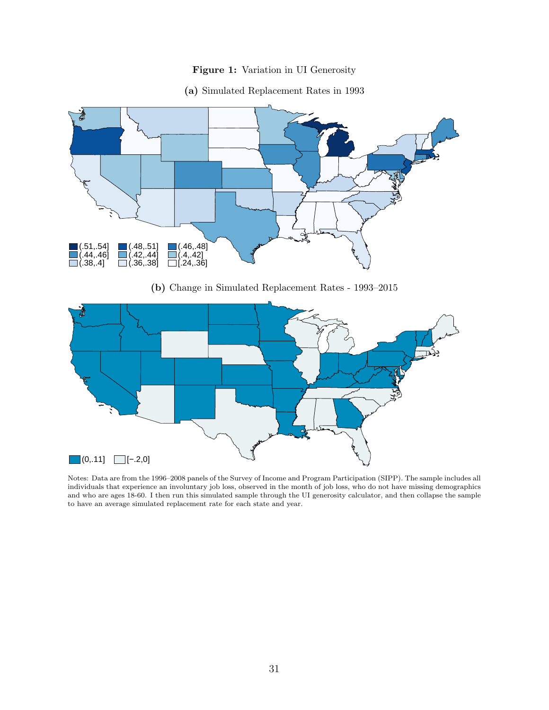



(a) Simulated Replacement Rates in 1993

(b) Change in Simulated Replacement Rates - 1993–2015



Notes: Data are from the 1996–2008 panels of the Survey of Income and Program Participation (SIPP). The sample includes all individuals that experience an involuntary job loss, observed in the month of job loss, who do not have missing demographics and who are ages 18-60. I then run this simulated sample through the UI generosity calculator, and then collapse the sample to have an average simulated replacement rate for each state and year.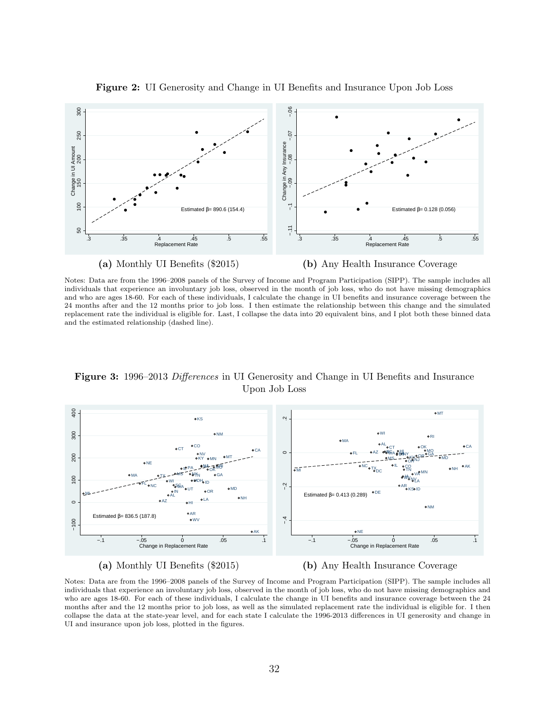

Figure 2: UI Generosity and Change in UI Benefits and Insurance Upon Job Loss

Notes: Data are from the 1996–2008 panels of the Survey of Income and Program Participation (SIPP). The sample includes all individuals that experience an involuntary job loss, observed in the month of job loss, who do not have missing demographics and who are ages 18-60. For each of these individuals, I calculate the change in UI benefits and insurance coverage between the 24 months after and the 12 months prior to job loss. I then estimate the relationship between this change and the simulated replacement rate the individual is eligible for. Last, I collapse the data into 20 equivalent bins, and I plot both these binned data and the estimated relationship (dashed line).

400 100 200 300 400<br>100 100 200 **OMT** KS .<br>2.<br>-300 NM WI RI o<sub>M</sub> **o**CO AL  $0<sub>C</sub>$  $_{\text{oCT}}$ OK. CT o<sub>C</sub>A MO  $\circ$ FL OAZ OURVAS MY OMO **SCA** AZ IN NV WA **BAY AVOORS** NY 200 UM MT KY. KY MS. MD MN NJ NE OH PA **PUA RING** NJ NC IL AK VA MO CO  $T_{\text{6D}}$  oth ا۱۱ OK NH MI O<sup>1</sup>ODC OTN<sub>ove</sub>MN DC MS **NY<sub>N</sub>** va ova' MA TX - PH<sub>AI2</sub> OPIAN GA 100 bЮ OH WI ID FL, SG A −.4 −.2 NC AR<br>oksold ₩A, MD UT IN OR Estimated  $β = 0.413$  (0.289) DE MI AL oNH LA AZ  $\circ$ HI o<sub>NM</sub> o AF Estimated  $β = 836.5$  (187.8) −100 oW **OAK** NE −.1 −.05 0 .05 .1 −.1 −.05 0 .05 .1 Change in Replacement Rate Change in Replacement

Figure 3: 1996–2013 Differences in UI Generosity and Change in UI Benefits and Insurance Upon Job Loss





Notes: Data are from the 1996–2008 panels of the Survey of Income and Program Participation (SIPP). The sample includes all individuals that experience an involuntary job loss, observed in the month of job loss, who do not have missing demographics and who are ages 18-60. For each of these individuals, I calculate the change in UI benefits and insurance coverage between the 24 months after and the 12 months prior to job loss, as well as the simulated replacement rate the individual is eligible for. I then collapse the data at the state-year level, and for each state I calculate the 1996-2013 differences in UI generosity and change in UI and insurance upon job loss, plotted in the figures.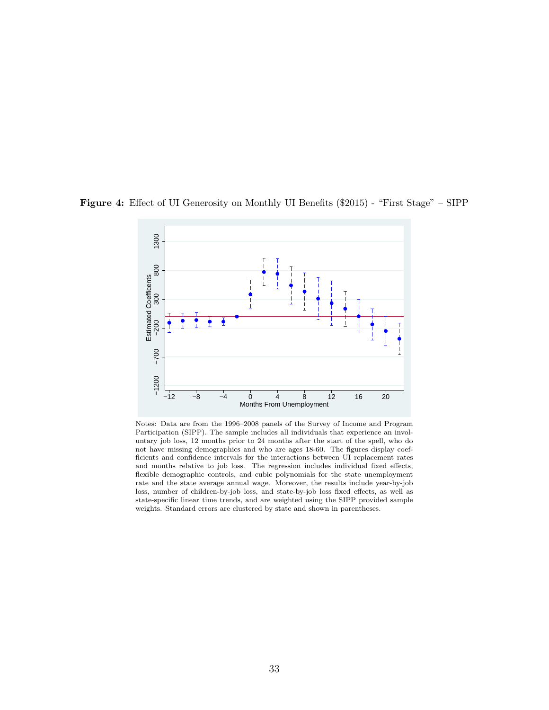

Figure 4: Effect of UI Generosity on Monthly UI Benefits (\$2015) - "First Stage" – SIPP

Notes: Data are from the 1996–2008 panels of the Survey of Income and Program Participation (SIPP). The sample includes all individuals that experience an involuntary job loss, 12 months prior to 24 months after the start of the spell, who do not have missing demographics and who are ages 18-60. The figures display coefficients and confidence intervals for the interactions between UI replacement rates and months relative to job loss. The regression includes individual fixed effects, flexible demographic controls, and cubic polynomials for the state unemployment rate and the state average annual wage. Moreover, the results include year-by-job loss, number of children-by-job loss, and state-by-job loss fixed effects, as well as state-specific linear time trends, and are weighted using the SIPP provided sample weights. Standard errors are clustered by state and shown in parentheses.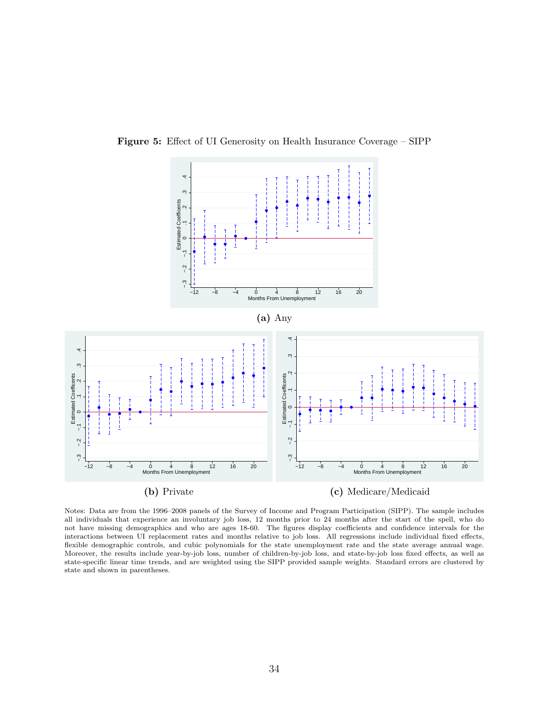

Figure 5: Effect of UI Generosity on Health Insurance Coverage – SIPP

Notes: Data are from the 1996–2008 panels of the Survey of Income and Program Participation (SIPP). The sample includes all individuals that experience an involuntary job loss, 12 months prior to 24 months after the start of the spell, who do not have missing demographics and who are ages 18-60. The figures display coefficients and confidence intervals for the interactions between UI replacement rates and months relative to job loss. All regressions include individual fixed effects, flexible demographic controls, and cubic polynomials for the state unemployment rate and the state average annual wage. Moreover, the results include year-by-job loss, number of children-by-job loss, and state-by-job loss fixed effects, as well as state-specific linear time trends, and are weighted using the SIPP provided sample weights. Standard errors are clustered by state and shown in parentheses.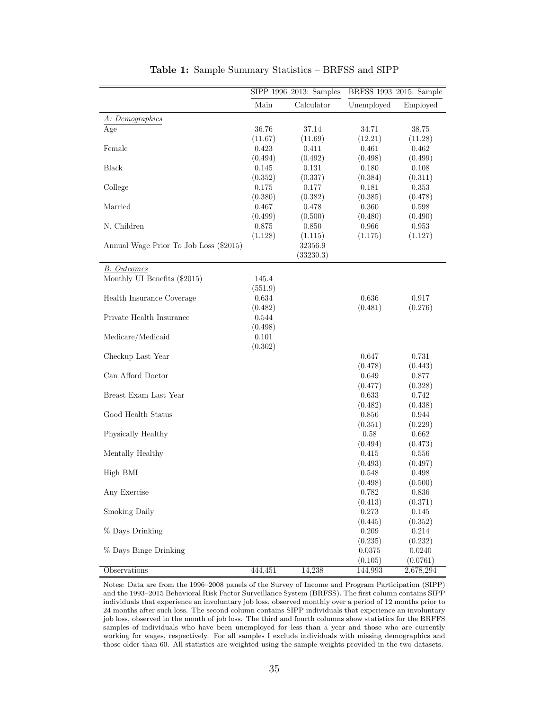|                                        |         | SIPP 1996-2013: Samples | BRFSS 1993-2015: Sample |                       |
|----------------------------------------|---------|-------------------------|-------------------------|-----------------------|
|                                        | Main    | Calculator              | Unemployed              | Employed              |
| A: Demographics                        |         |                         |                         |                       |
| Age                                    | 36.76   | 37.14                   | 34.71                   | 38.75                 |
|                                        | (11.67) | (11.69)                 | (12.21)                 | (11.28)               |
| Female                                 | 0.423   | 0.411                   | 0.461                   | 0.462                 |
|                                        | (0.494) | (0.492)                 | (0.498)                 | (0.499)               |
| Black                                  | 0.145   | 0.131                   | 0.180                   | 0.108                 |
|                                        | (0.352) | (0.337)                 | (0.384)                 | (0.311)               |
| College                                | 0.175   | 0.177                   | 0.181                   | 0.353                 |
|                                        | (0.380) | (0.382)                 | (0.385)                 | (0.478)               |
| Married                                | 0.467   | 0.478                   | 0.360                   | 0.598                 |
|                                        | (0.499) | (0.500)                 | (0.480)                 | (0.490)               |
| N. Children                            | 0.875   | 0.850                   | 0.966                   | 0.953                 |
|                                        | (1.128) | (1.115)                 | (1.175)                 | (1.127)               |
| Annual Wage Prior To Job Loss (\$2015) |         | 32356.9                 |                         |                       |
|                                        |         | (33230.3)               |                         |                       |
| <b>B</b> : Outcomes                    |         |                         |                         |                       |
| Monthly UI Benefits (\$2015)           | 145.4   |                         |                         |                       |
|                                        | (551.9) |                         |                         |                       |
| Health Insurance Coverage              | 0.634   |                         | 0.636                   | 0.917                 |
|                                        | (0.482) |                         | (0.481)                 | (0.276)               |
| Private Health Insurance               | 0.544   |                         |                         |                       |
|                                        | (0.498) |                         |                         |                       |
| Medicare/Medicaid                      | 0.101   |                         |                         |                       |
|                                        | (0.302) |                         |                         |                       |
| Checkup Last Year                      |         |                         | 0.647                   | 0.731                 |
|                                        |         |                         | (0.478)                 | (0.443)               |
| Can Afford Doctor                      |         |                         | 0.649                   | 0.877                 |
|                                        |         |                         | (0.477)                 | (0.328)               |
| Breast Exam Last Year                  |         |                         | 0.633                   | 0.742                 |
|                                        |         |                         | (0.482)                 | (0.438)               |
| Good Health Status                     |         |                         | 0.856                   | 0.944                 |
|                                        |         |                         | (0.351)                 | (0.229)               |
| Physically Healthy                     |         |                         | 0.58                    | 0.662                 |
|                                        |         |                         | (0.494)                 | (0.473)               |
| Mentally Healthy                       |         |                         | 0.415                   | 0.556                 |
|                                        |         |                         | (0.493)                 | (0.497)               |
| High BMI                               |         |                         | 0.548                   | 0.498                 |
|                                        |         |                         | (0.498)                 | (0.500)               |
| Any Exercise                           |         |                         | $0.782\,$               | 0.836                 |
|                                        |         |                         | (0.413)                 | (0.371)               |
| Smoking Daily                          |         |                         | 0.273                   | 0.145                 |
|                                        |         |                         | (0.445)                 | (0.352)               |
| % Days Drinking                        |         |                         | 0.209                   | 0.214                 |
|                                        |         |                         | (0.235)                 | (0.232)               |
| % Days Binge Drinking                  |         |                         | 0.0375                  | 0.0240                |
| Observations                           | 444,451 | 14,238                  | (0.105)<br>144,993      | (0.0761)<br>2,678,294 |
|                                        |         |                         |                         |                       |

Table 1: Sample Summary Statistics – BRFSS and SIPP

Notes: Data are from the 1996–2008 panels of the Survey of Income and Program Participation (SIPP) and the 1993–2015 Behavioral Risk Factor Surveillance System (BRFSS). The first column contains SIPP individuals that experience an involuntary job loss, observed monthly over a period of 12 months prior to 24 months after such loss. The second column contains SIPP individuals that experience an involuntary job loss, observed in the month of job loss. The third and fourth columns show statistics for the BRFFS samples of individuals who have been unemployed for less than a year and those who are currently working for wages, respectively. For all samples I exclude individuals with missing demographics and those older than 60. All statistics are weighted using the sample weights provided in the two datasets.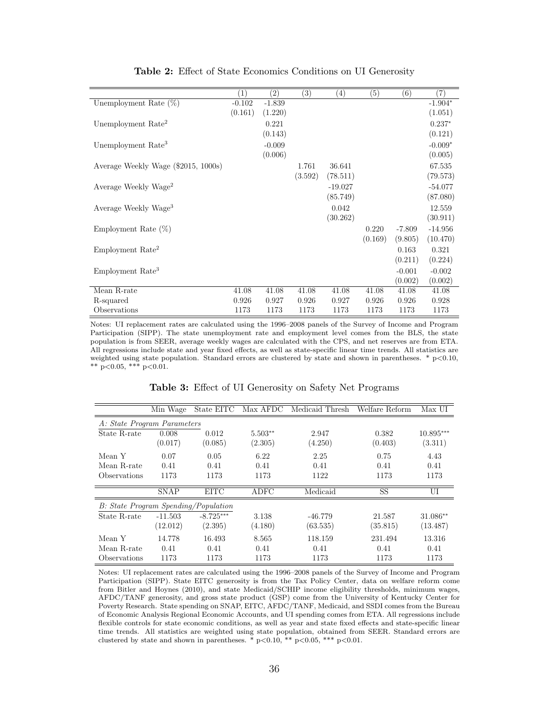|                                     | (1)      | $\left( 2\right)$ | (3)     | (4)       | (5)     | (6)      | $\left( 7\right)$ |
|-------------------------------------|----------|-------------------|---------|-----------|---------|----------|-------------------|
| Unemployment Rate $(\%)$            | $-0.102$ | $-1.839$          |         |           |         |          | $-1.904*$         |
|                                     | (0.161)  | (1.220)           |         |           |         |          | (1.051)           |
| Unemployment Rate <sup>2</sup>      |          | 0.221             |         |           |         |          | $0.237*$          |
|                                     |          | (0.143)           |         |           |         |          | (0.121)           |
| Unemployment Rate <sup>3</sup>      |          | $-0.009$          |         |           |         |          | $-0.009*$         |
|                                     |          | (0.006)           |         |           |         |          | (0.005)           |
| Average Weekly Wage (\$2015, 1000s) |          |                   | 1.761   | 36.641    |         |          | 67.535            |
|                                     |          |                   | (3.592) | (78.511)  |         |          | (79.573)          |
| Average Weekly Wage <sup>2</sup>    |          |                   |         | $-19.027$ |         |          | $-54.077$         |
|                                     |          |                   |         | (85.749)  |         |          | (87.080)          |
| Average Weekly Wage <sup>3</sup>    |          |                   |         | 0.042     |         |          | 12.559            |
|                                     |          |                   |         | (30.262)  |         |          | (30.911)          |
| Employment Rate $(\%)$              |          |                   |         |           | 0.220   | $-7.809$ | $-14.956$         |
|                                     |          |                   |         |           | (0.169) | (9.805)  | (10.470)          |
| Employment Rate <sup>2</sup>        |          |                   |         |           |         | 0.163    | 0.321             |
|                                     |          |                   |         |           |         | (0.211)  | (0.224)           |
| Employment Rate <sup>3</sup>        |          |                   |         |           |         | $-0.001$ | $-0.002$          |
|                                     |          |                   |         |           |         | (0.002)  | (0.002)           |
| Mean R-rate                         | 41.08    | 41.08             | 41.08   | 41.08     | 41.08   | 41.08    | 41.08             |
| R-squared                           | 0.926    | 0.927             | 0.926   | 0.927     | 0.926   | 0.926    | 0.928             |
| Observations                        | 1173     | 1173              | 1173    | 1173      | 1173    | 1173     | 1173              |

Table 2: Effect of State Economics Conditions on UI Generosity

Notes: UI replacement rates are calculated using the 1996–2008 panels of the Survey of Income and Program Participation (SIPP). The state unemployment rate and employment level comes from the BLS, the state population is from SEER, average weekly wages are calculated with the CPS, and net reserves are from ETA. All regressions include state and year fixed effects, as well as state-specific linear time trends. All statistics are weighted using state population. Standard errors are clustered by state and shown in parentheses.  $* p<0.10$ , \*\*  $p<0.05$ , \*\*\*  $p<0.01$ .

|                                      | Min Wage    | State EITC  | Max AFDC    | Medicaid Thresh | Welfare Reform | Max UI      |
|--------------------------------------|-------------|-------------|-------------|-----------------|----------------|-------------|
| A: State Program Parameters          |             |             |             |                 |                |             |
| State R-rate                         | 0.008       | 0.012       | $5.503**$   | 2.947           | 0.382          | $10.895***$ |
|                                      | (0.017)     | (0.085)     | (2.305)     | (4.250)         | (0.403)        | (3.311)     |
| Mean Y                               | 0.07        | 0.05        | 6.22        | 2.25            | 0.75           | 4.43        |
| Mean R-rate                          | 0.41        | 0.41        | 0.41        | 0.41            | 0.41           | 0.41        |
| Observations                         | 1173        | 1173        | 1173        | 1122            | 1173           | 1173        |
|                                      | <b>SNAP</b> | <b>EITC</b> | <b>ADFC</b> | Medicaid        | SS             | UI          |
| B: State Program Spending/Population |             |             |             |                 |                |             |
| State R-rate                         | $-11.503$   | $-8.725***$ | 3.138       | $-46.779$       | 21.587         | $31.086**$  |
|                                      | (12.012)    | (2.395)     | (4.180)     | (63.535)        | (35.815)       | (13.487)    |
| Mean Y                               | 14.778      | 16.493      | 8.565       | 118.159         | 231.494        | 13.316      |
| Mean R-rate                          | 0.41        | 0.41        | 0.41        | 0.41            | 0.41           | 0.41        |
| Observations                         | 1173        | 1173        | 1173        | 1173            | 1173           | 1173        |

Table 3: Effect of UI Generosity on Safety Net Programs

Notes: UI replacement rates are calculated using the 1996–2008 panels of the Survey of Income and Program Participation (SIPP). State EITC generosity is from the Tax Policy Center, data on welfare reform come from Bitler and Hoynes (2010), and state Medicaid/SCHIP income eligibility thresholds, minimum wages, AFDC/TANF generosity, and gross state product (GSP) come from the University of Kentucky Center for Poverty Research. State spending on SNAP, EITC, AFDC/TANF, Medicaid, and SSDI comes from the Bureau of Economic Analysis Regional Economic Accounts, and UI spending comes from ETA. All regressions include flexible controls for state economic conditions, as well as year and state fixed effects and state-specific linear time trends. All statistics are weighted using state population, obtained from SEER. Standard errors are clustered by state and shown in parentheses. \*  $p<0.10$ , \*\*  $p<0.05$ , \*\*\*  $p<0.01$ .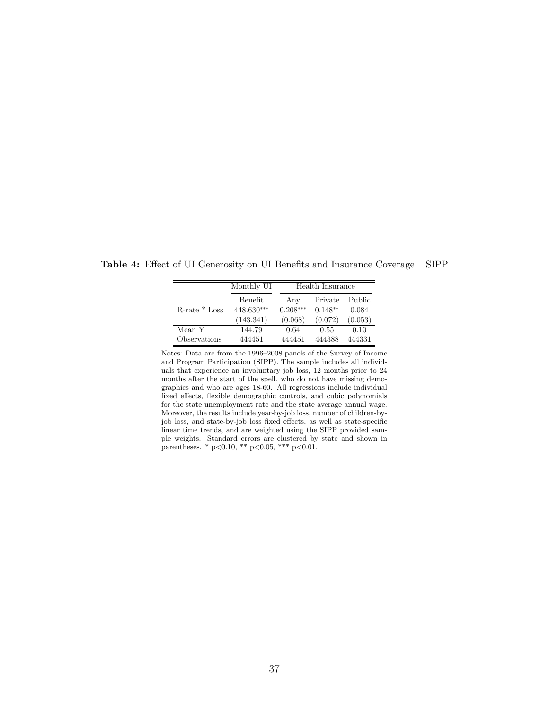|                    | Monthly UI |            | Health Insurance |         |
|--------------------|------------|------------|------------------|---------|
|                    | Benefit    | Any        | Private          | Public  |
| $R$ -rate $*$ Loss | 448.630*** | $0.208***$ | $0.148**$        | 0.084   |
|                    | (143.341)  | (0.068)    | (0.072)          | (0.053) |
| Mean Y             | 144.79     | 0.64       | 0.55             | 0.10    |
| Observations       | 444451     | 444451     | 444388           | 444331  |

Table 4: Effect of UI Generosity on UI Benefits and Insurance Coverage – SIPP

Notes: Data are from the 1996–2008 panels of the Survey of Income and Program Participation (SIPP). The sample includes all individuals that experience an involuntary job loss, 12 months prior to 24 months after the start of the spell, who do not have missing demographics and who are ages 18-60. All regressions include individual fixed effects, flexible demographic controls, and cubic polynomials for the state unemployment rate and the state average annual wage. Moreover, the results include year-by-job loss, number of children-byjob loss, and state-by-job loss fixed effects, as well as state-specific linear time trends, and are weighted using the SIPP provided sample weights. Standard errors are clustered by state and shown in parentheses. \*  $p<0.10$ , \*\*  $p<0.05$ , \*\*\*  $p<0.01$ .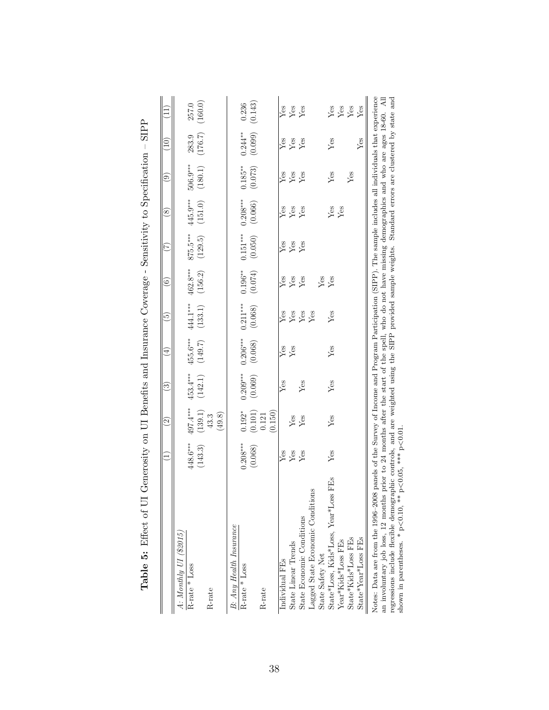|                                                                                                                                                                                                                                                                                                                                                                                                                                                                                                                                     | Ξ          | $\widehat{\mathfrak{D}}$ | ි          | $\bigoplus$ | $\widetilde{5}$ | $\odot$    | E           | $\circledast$ | $\odot$    | (10)       | Ē                 |
|-------------------------------------------------------------------------------------------------------------------------------------------------------------------------------------------------------------------------------------------------------------------------------------------------------------------------------------------------------------------------------------------------------------------------------------------------------------------------------------------------------------------------------------|------------|--------------------------|------------|-------------|-----------------|------------|-------------|---------------|------------|------------|-------------------|
| $A$ : Monthly UI (\$2015,                                                                                                                                                                                                                                                                                                                                                                                                                                                                                                           |            |                          |            |             |                 |            |             |               |            |            |                   |
| R-rate * Loss                                                                                                                                                                                                                                                                                                                                                                                                                                                                                                                       | 448.6***   | 497.4***                 | 453.4***   | 455.6***    | 444.1***        | 462.8***   | 875.5***    | 445.9***      | $506.9***$ | 283.9      | 257.0             |
|                                                                                                                                                                                                                                                                                                                                                                                                                                                                                                                                     | (143.3)    | (139.1)                  | (142.1)    | (149.7)     | (133.1)         | (156.2)    | (129.5)     | (151.0)       | (180.1)    | (176.7)    | (160.0)           |
| R-rate                                                                                                                                                                                                                                                                                                                                                                                                                                                                                                                              |            | $43.3\,$                 |            |             |                 |            |             |               |            |            |                   |
|                                                                                                                                                                                                                                                                                                                                                                                                                                                                                                                                     |            | (49.8)                   |            |             |                 |            |             |               |            |            |                   |
| B: Any Health Insurance                                                                                                                                                                                                                                                                                                                                                                                                                                                                                                             |            |                          |            |             |                 |            |             |               |            |            |                   |
| R-rate * Loss                                                                                                                                                                                                                                                                                                                                                                                                                                                                                                                       | $0.208***$ | $0.192*$                 | $0.209***$ | $0.206***$  | $0.211***$      | $0.196***$ | $0.151***$  | $0.208***$    | $0.185***$ | $0.244***$ | 0.236             |
|                                                                                                                                                                                                                                                                                                                                                                                                                                                                                                                                     | (0.068)    | (0.101)                  | (0.069)    | (0.068)     | (0.068)         | (0.074)    | (0.050)     | (0.066)       | (0.073)    | (0.099)    | (0.143)           |
| R-rate                                                                                                                                                                                                                                                                                                                                                                                                                                                                                                                              |            | 0.121                    |            |             |                 |            |             |               |            |            |                   |
|                                                                                                                                                                                                                                                                                                                                                                                                                                                                                                                                     |            | (0.150)                  |            |             |                 |            |             |               |            |            |                   |
| Individual FEs                                                                                                                                                                                                                                                                                                                                                                                                                                                                                                                      | Yes        |                          | $Y$ es     | Yes         | Yes             | Yes        | ${\rm Yes}$ | Yes           | Yes        | Yes        |                   |
| State Linear Trends                                                                                                                                                                                                                                                                                                                                                                                                                                                                                                                 | Yes        | Yes                      |            | Yes         | ${\rm Yes}$     | $Y$ es     | Yes         | Yes           | Yes        | Yes        | $Y_{CS}$          |
| State Economic Conditions                                                                                                                                                                                                                                                                                                                                                                                                                                                                                                           | $Y$ es     | Yes                      | $Y$ es     |             | $\rm Yes$       | Yes        | Yes         | Yes           | $Y$ es     | Yes        | Yes               |
| Lagged State Economic Conditions                                                                                                                                                                                                                                                                                                                                                                                                                                                                                                    |            |                          |            |             | Yes             |            |             |               |            |            |                   |
| State Safety Net                                                                                                                                                                                                                                                                                                                                                                                                                                                                                                                    |            |                          |            |             |                 | Yes        |             |               |            |            |                   |
| State*Loss, Kids*Loss, Year*Loss FEs                                                                                                                                                                                                                                                                                                                                                                                                                                                                                                | Yes        | Yes                      | Yes        | Yes         | Yes             | Yes        |             | Yes<br>Yes    | Yes        | Yes        |                   |
| Year*Kids*Loss FEs                                                                                                                                                                                                                                                                                                                                                                                                                                                                                                                  |            |                          |            |             |                 |            |             |               |            |            | Yes<br>Yes<br>Yes |
| State*Kids*Loss FEs                                                                                                                                                                                                                                                                                                                                                                                                                                                                                                                 |            |                          |            |             |                 |            |             |               | Yes        |            |                   |
| State*Year*Loss FEs                                                                                                                                                                                                                                                                                                                                                                                                                                                                                                                 |            |                          |            |             |                 |            |             |               |            | Yes        | Yes               |
| Notes: Data are from the 1996–2008 panels of the Survey of Income and Program Participation (SIPP). The sample includes all individuals that experience<br>regressions include flexible demographic controls, and are weighted using the SIPP provided sample weights. Standard errors are clustered by state and<br>shown in parentheses. * p<0.10, ** p<0.05, *** p<0.01.<br>an involuntary job loss, 12 months prior to 24 months after the start of the spell, who do not have missing demographics and who are ages 18-60. All |            |                          |            |             |                 |            |             |               |            |            |                   |
|                                                                                                                                                                                                                                                                                                                                                                                                                                                                                                                                     |            |                          |            |             |                 |            |             |               |            |            |                   |

-SIPP Sensitivity to Specification nno mo  $\sim C_{\infty}$ j  $\ddot{\cdot}$ on III Benefits and Insur Table 5: Effect of III Generosity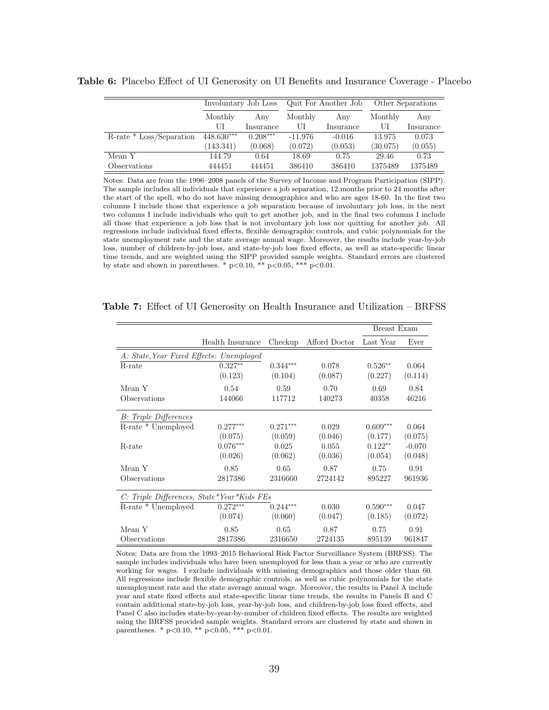|                          |              | Involuntary Job Loss |           | Quit For Another Job |          | Other Separations |
|--------------------------|--------------|----------------------|-----------|----------------------|----------|-------------------|
|                          | Monthly      | Any                  | Monthly   | Any                  | Monthly  | Any               |
|                          | UI           | Insurance            | UI        | Insurance            | UI       | Insurance         |
| R-rate * Loss/Separation | $448.630***$ | $0.208***$           | $-11.976$ | $-0.016$             | 13.975   | 0.073             |
|                          | (143.341)    | (0.068)              | (0.072)   | (0.053)              | (30.075) | (0.055)           |
| Mean Y                   | 144.79       | 0.64                 | 18.69     | 0.75                 | 29.46    | 0.73              |
| Observations             | 444451       | 444451               | 386410    | 386410               | 1375489  | 1375489           |

Table 6: Placebo Effect of UI Generosity on UI Benefits and Insurance Coverage - Placebo

Notes: Data are from the 1996–2008 panels of the Survey of Income and Program Participation (SIPP). The sample includes all individuals that experience a job separation, 12 months prior to 24 months after the start of the spell, who do not have missing demographics and who are ages 18-60. In the first two columns I include those that experience a job separation because of involuntary job loss, in the next two columns I include individuals who quit to get another job, and in the final two columns I include all those that experience a job loss that is not involuntary job loss nor quitting for another job. All regressions include individual fixed effects, flexible demographic controls, and cubic polynomials for the state unemployment rate and the state average annual wage. Moreover, the results include year-by-job loss, number of children-by-job loss, and state-by-job loss fixed effects, as well as state-specific linear time trends, and are weighted using the SIPP provided sample weights. Standard errors are clustered by state and shown in parentheses. \* p<0.10, \*\* p<0.05, \*\*\* p<0.01.

|                                            |                  |            |               | Breast Exam |          |
|--------------------------------------------|------------------|------------|---------------|-------------|----------|
|                                            | Health Insurance | Checkup    | Afford Doctor | Last Year   | Ever     |
| A: State, Year Fixed Effects: Unemployed   |                  |            |               |             |          |
| R-rate                                     | $0.327**$        | $0.344***$ | 0.078         | $0.526**$   | 0.064    |
|                                            | (0.123)          | (0.104)    | (0.087)       | (0.227)     | (0.114)  |
| Mean Y                                     | 0.54             | 0.59       | 0.70          | 0.69        | 0.84     |
| Observations                               | 144066           | 117712     | 140273        | 40358       | 46216    |
| B: Triple Differences                      |                  |            |               |             |          |
| R-rate * Unemployed                        | $0.277***$       | $0.271***$ | 0.029         | $0.609***$  | 0.064    |
|                                            | (0.075)          | (0.059)    | (0.046)       | (0.177)     | (0.075)  |
| R-rate                                     | $0.076***$       | 0.025      | 0.055         | $0.122**$   | $-0.070$ |
|                                            | (0.026)          | (0.062)    | (0.036)       | (0.054)     | (0.048)  |
| Mean Y                                     | 0.85             | 0.65       | 0.87          | 0.75        | 0.91     |
| Observations                               | 2817386          | 2316660    | 2724142       | 895227      | 961936   |
| C: Triple Differences, State*Year*Kids FEs |                  |            |               |             |          |
| R-rate * Unemployed                        | $0.272***$       | $0.244***$ | 0.030         | $0.590***$  | 0.047    |
|                                            | (0.074)          | (0.060)    | (0.047)       | (0.185)     | (0.072)  |
| Mean Y                                     | 0.85             | 0.65       | 0.87          | 0.75        | 0.91     |
| Observations                               | 2817386          | 2316650    | 2724135       | 895139      | 961847   |

Table 7: Effect of UI Generosity on Health Insurance and Utilization – BRFSS

Notes: Data are from the 1993–2015 Behavioral Risk Factor Surveillance System (BRFSS). The sample includes individuals who have been unemployed for less than a year or who are currently working for wages. I exclude individuals with missing demographics and those older than 60. All regressions include flexible demographic controls, as well as cubic polynomials for the state unemployment rate and the state average annual wage. Moreover, the results in Panel A include year and state fixed effects and state-specific linear time trends, the results in Panels B and C contain additional state-by-job loss, year-by-job loss, and children-by-job loss fixed effects, and Panel C also includes state-by-year-by-number of children fixed effects. The results are weighted using the BRFSS provided sample weights. Standard errors are clustered by state and shown in parentheses. \*  $p<0.10$ , \*\*  $p<0.05$ , \*\*\*  $p<0.01$ .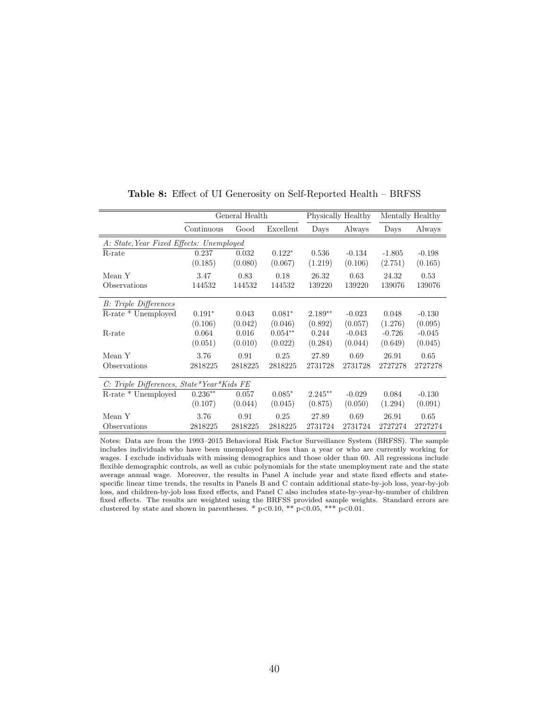|                                           |            | General Health |           |           | Physically Healthy |          | Mentally Healthy |
|-------------------------------------------|------------|----------------|-----------|-----------|--------------------|----------|------------------|
|                                           | Continuous | Good           | Excellent | Days      | Always             | Days     | Always           |
| A: State, Year Fixed Effects: Unemployed  |            |                |           |           |                    |          |                  |
| R-rate                                    | 0.237      | 0.032          | $0.122*$  | 0.536     | $-0.134$           | $-1.805$ | $-0.198$         |
|                                           | (0.185)    | (0.080)        | (0.067)   | (1.219)   | (0.106)            | (2.751)  | (0.165)          |
| Mean Y                                    | 3.47       | 0.83           | 0.18      | 26.32     | 0.63               | 24.32    | 0.53             |
| Observations                              | 144532     | 144532         | 144532    | 139220    | 139220             | 139076   | 139076           |
| <b>B</b> : Triple Differences             |            |                |           |           |                    |          |                  |
| R-rate * Unemployed                       | $0.191*$   | 0.043          | $0.081*$  | $2.189**$ | $-0.023$           | 0.048    | $-0.130$         |
|                                           | (0.106)    | (0.042)        | (0.046)   | (0.892)   | (0.057)            | (1.276)  | (0.095)          |
| R-rate                                    | 0.064      | 0.016          | $0.054**$ | 0.244     | $-0.043$           | $-0.726$ | $-0.045$         |
|                                           | (0.051)    | (0.010)        | (0.022)   | (0.284)   | (0.044)            | (0.649)  | (0.045)          |
| Mean Y                                    | 3.76       | 0.91           | 0.25      | 27.89     | 0.69               | 26.91    | 0.65             |
| Observations                              | 2818225    | 2818225        | 2818225   | 2731728   | 2731728            | 2727278  | 2727278          |
| C: Triple Differences, State*Year*Kids FE |            |                |           |           |                    |          |                  |
| R-rate * Unemployed                       | $0.236**$  | 0.057          | $0.085*$  | $2.245**$ | $-0.029$           | 0.084    | $-0.130$         |
|                                           | (0.107)    | (0.044)        | (0.045)   | (0.875)   | (0.050)            | (1.294)  | (0.091)          |
| Mean Y                                    | 3.76       | 0.91           | 0.25      | 27.89     | 0.69               | 26.91    | 0.65             |
| Observations                              | 2818225    | 2818225        | 2818225   | 2731724   | 2731724            | 2727274  | 2727274          |

Table 8: Effect of UI Generosity on Self-Reported Health – BRFSS

Notes: Data are from the 1993–2015 Behavioral Risk Factor Surveillance System (BRFSS). The sample includes individuals who have been unemployed for less than a year or who are currently working for wages. I exclude individuals with missing demographics and those older than 60. All regressions include flexible demographic controls, as well as cubic polynomials for the state unemployment rate and the state average annual wage. Moreover, the results in Panel A include year and state fixed effects and statespecific linear time trends, the results in Panels B and C contain additional state-by-job loss, year-by-job loss, and children-by-job loss fixed effects, and Panel C also includes state-by-year-by-number of children fixed effects. The results are weighted using the BRFSS provided sample weights. Standard errors are clustered by state and shown in parentheses. \*  $p<0.10$ , \*\*  $p<0.05$ , \*\*\*  $p<0.01$ .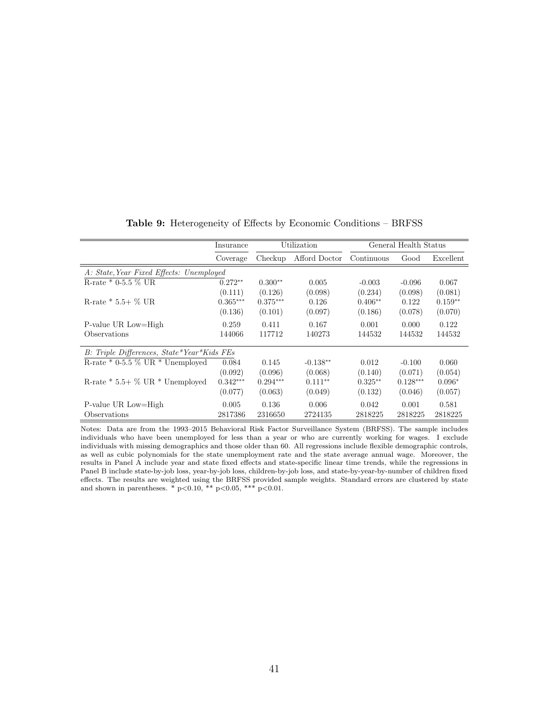|                                            | Insurance  |            | Utilization   |            | General Health Status |           |
|--------------------------------------------|------------|------------|---------------|------------|-----------------------|-----------|
|                                            | Coverage   | Checkup    | Afford Doctor | Continuous | Good                  | Excellent |
| A: State, Year Fixed Effects: Unemployed   |            |            |               |            |                       |           |
| R-rate $*$ 0-5.5 % UR                      | $0.272**$  | $0.300**$  | 0.005         | $-0.003$   | $-0.096$              | 0.067     |
|                                            | (0.111)    | (0.126)    | (0.098)       | (0.234)    | (0.098)               | (0.081)   |
| R-rate $* 5.5 + \%$ UR                     | $0.365***$ | $0.375***$ | 0.126         | $0.406**$  | 0.122                 | $0.159**$ |
|                                            | (0.136)    | (0.101)    | (0.097)       | (0.186)    | (0.078)               | (0.070)   |
| P-value UR Low=High                        | 0.259      | 0.411      | 0.167         | 0.001      | 0.000                 | 0.122     |
| Observations                               | 144066     | 117712     | 140273        | 144532     | 144532                | 144532    |
| B: Triple Differences, State*Year*Kids FEs |            |            |               |            |                       |           |
| R-rate * 0-5.5 $\%$ UR * Unemployed        | 0.084      | 0.145      | $-0.138**$    | 0.012      | $-0.100$              | 0.060     |
|                                            | (0.092)    | (0.096)    | (0.068)       | (0.140)    | (0.071)               | (0.054)   |
| R-rate $* 5.5+$ % UR $*$ Unemployed        | $0.342***$ | $0.294***$ | $0.111**$     | $0.325**$  | $0.128***$            | $0.096*$  |
|                                            | (0.077)    | (0.063)    | (0.049)       | (0.132)    | (0.046)               | (0.057)   |
| P-value UR Low=High                        | 0.005      | 0.136      | 0.006         | 0.042      | 0.001                 | 0.581     |
| Observations                               | 2817386    | 2316650    | 2724135       | 2818225    | 2818225               | 2818225   |

Table 9: Heterogeneity of Effects by Economic Conditions – BRFSS

Notes: Data are from the 1993–2015 Behavioral Risk Factor Surveillance System (BRFSS). The sample includes individuals who have been unemployed for less than a year or who are currently working for wages. I exclude individuals with missing demographics and those older than 60. All regressions include flexible demographic controls, as well as cubic polynomials for the state unemployment rate and the state average annual wage. Moreover, the results in Panel A include year and state fixed effects and state-specific linear time trends, while the regressions in Panel B include state-by-job loss, year-by-job loss, children-by-job loss, and state-by-year-by-number of children fixed effects. The results are weighted using the BRFSS provided sample weights. Standard errors are clustered by state and shown in parentheses. \*  $p<0.10$ , \*\*  $p<0.05$ , \*\*\*  $p<0.01$ .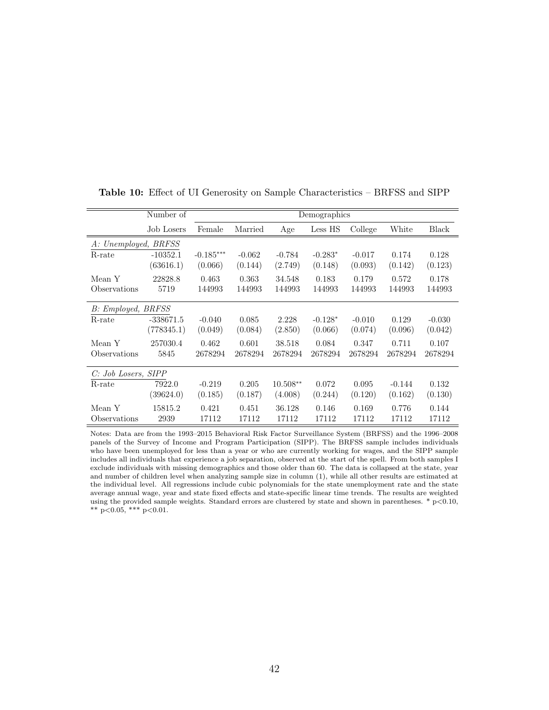|                      | Number of   |             |          |            | Demographics |          |          |          |
|----------------------|-------------|-------------|----------|------------|--------------|----------|----------|----------|
|                      | Job Losers  | Female      | Married  | Age        | Less HS      | College  | White    | Black    |
| A: Unemployed, BRFSS |             |             |          |            |              |          |          |          |
| R-rate               | $-10352.1$  | $-0.185***$ | $-0.062$ | $-0.784$   | $-0.283*$    | $-0.017$ | 0.174    | 0.128    |
|                      | (63616.1)   | (0.066)     | (0.144)  | (2.749)    | (0.148)      | (0.093)  | (0.142)  | (0.123)  |
| Mean Y               | 22828.8     | 0.463       | 0.363    | 34.548     | 0.183        | 0.179    | 0.572    | 0.178    |
| Observations         | 5719        | 144993      | 144993   | 144993     | 144993       | 144993   | 144993   | 144993   |
| B: Employed, BRFSS   |             |             |          |            |              |          |          |          |
| R-rate               | $-338671.5$ | $-0.040$    | 0.085    | 2.228      | $-0.128*$    | $-0.010$ | 0.129    | $-0.030$ |
|                      | (778345.1)  | (0.049)     | (0.084)  | (2.850)    | (0.066)      | (0.074)  | (0.096)  | (0.042)  |
| Mean Y               | 257030.4    | 0.462       | 0.601    | 38.518     | 0.084        | 0.347    | 0.711    | 0.107    |
| Observations         | 5845        | 2678294     | 2678294  | 2678294    | 2678294      | 2678294  | 2678294  | 2678294  |
| C: Job Losers, SIPP  |             |             |          |            |              |          |          |          |
| R-rate               | 7922.0      | $-0.219$    | 0.205    | $10.508**$ | 0.072        | 0.095    | $-0.144$ | 0.132    |
|                      | (39624.0)   | (0.185)     | (0.187)  | (4.008)    | (0.244)      | (0.120)  | (0.162)  | (0.130)  |
| Mean Y               | 15815.2     | 0.421       | 0.451    | 36.128     | 0.146        | 0.169    | 0.776    | 0.144    |
| Observations         | 2939        | 17112       | 17112    | 17112      | 17112        | 17112    | 17112    | 17112    |

Table 10: Effect of UI Generosity on Sample Characteristics – BRFSS and SIPP

Notes: Data are from the 1993–2015 Behavioral Risk Factor Surveillance System (BRFSS) and the 1996–2008 panels of the Survey of Income and Program Participation (SIPP). The BRFSS sample includes individuals who have been unemployed for less than a year or who are currently working for wages, and the SIPP sample includes all individuals that experience a job separation, observed at the start of the spell. From both samples I exclude individuals with missing demographics and those older than 60. The data is collapsed at the state, year and number of children level when analyzing sample size in column (1), while all other results are estimated at the individual level. All regressions include cubic polynomials for the state unemployment rate and the state average annual wage, year and state fixed effects and state-specific linear time trends. The results are weighted using the provided sample weights. Standard errors are clustered by state and shown in parentheses.  $*$  p $<$ 0.10, \*\* p<0.05, \*\*\* p<0.01.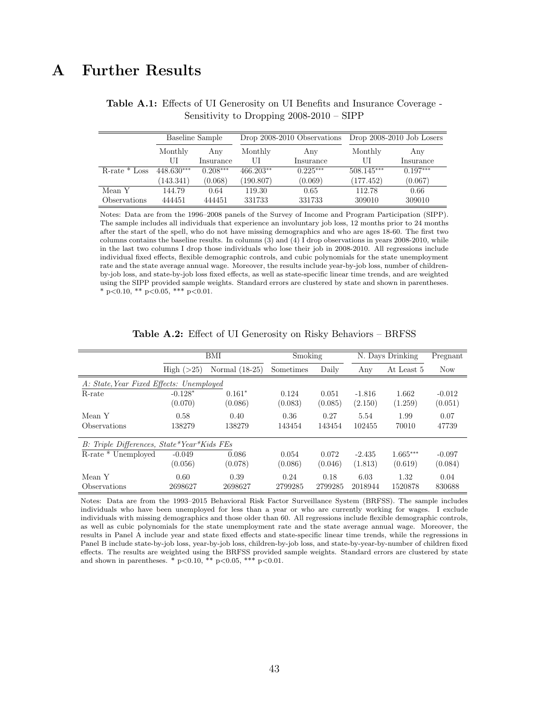# A Further Results

|                    |            | Baseline Sample |           | Drop 2008-2010 Observations |              | Drop $2008-2010$ Job Losers |
|--------------------|------------|-----------------|-----------|-----------------------------|--------------|-----------------------------|
|                    | Monthly    | Any             | Monthly   | Any                         | Monthly      | Any                         |
|                    | UI         | Insurance       | UI        | Insurance                   | UI           | Insurance                   |
| $R$ -rate $*$ Loss | 448.630*** | $0.208***$      | 466.203** | $0.225***$                  | $508.145***$ | $0.197***$                  |
|                    | (143.341)  | (0.068)         | (190.807) | (0.069)                     | (177.452)    | (0.067)                     |
| Mean Y             | 144.79     | 0.64            | 119.30    | 0.65                        | 112.78       | 0.66                        |
| Observations       | 444451     | 444451          | 331733    | 331733                      | 309010       | 309010                      |

Table A.1: Effects of UI Generosity on UI Benefits and Insurance Coverage - Sensitivity to Dropping 2008-2010 – SIPP

Notes: Data are from the 1996–2008 panels of the Survey of Income and Program Participation (SIPP). The sample includes all individuals that experience an involuntary job loss, 12 months prior to 24 months after the start of the spell, who do not have missing demographics and who are ages 18-60. The first two columns contains the baseline results. In columns (3) and (4) I drop observations in years 2008-2010, while in the last two columns I drop those individuals who lose their job in 2008-2010. All regressions include individual fixed effects, flexible demographic controls, and cubic polynomials for the state unemployment rate and the state average annual wage. Moreover, the results include year-by-job loss, number of childrenby-job loss, and state-by-job loss fixed effects, as well as state-specific linear time trends, and are weighted using the SIPP provided sample weights. Standard errors are clustered by state and shown in parentheses. \* p<0.10, \*\* p<0.05, \*\*\* p<0.01.

|                                            |                      | BMI                 | Smoking          |                  |                     | N. Days Drinking | Pregnant            |
|--------------------------------------------|----------------------|---------------------|------------------|------------------|---------------------|------------------|---------------------|
|                                            | High $(>25)$         | Normal (18-25)      | Sometimes        | Daily            | Any                 | At Least 5       | <b>Now</b>          |
| A: State, Year Fixed Effects: Unemployed   |                      |                     |                  |                  |                     |                  |                     |
| R-rate                                     | $-0.128*$<br>(0.070) | $0.161*$<br>(0.086) | 0.124<br>(0.083) | 0.051<br>(0.085) | $-1.816$<br>(2.150) | 1.662<br>(1.259) | $-0.012$<br>(0.051) |
| Mean Y                                     | 0.58                 | 0.40                | 0.36             | 0.27             | 5.54                | 1.99             | 0.07                |
| Observations                               | 138279               | 138279              | 143454           | 143454           | 102455              | 70010            | 47739               |
| B: Triple Differences, State*Year*Kids FEs |                      |                     |                  |                  |                     |                  |                     |
| R-rate * Unemployed                        | $-0.049$             | 0.086               | 0.054            | 0.072            | $-2.435$            | $1.665***$       | $-0.097$            |
|                                            | (0.056)              | (0.078)             | (0.086)          | (0.046)          | (1.813)             | (0.619)          | (0.084)             |
| Mean Y                                     | 0.60                 | 0.39                | 0.24             | 0.18             | 6.03                | 1.32             | 0.04                |
| Observations                               | 2698627              | 2698627             | 2799285          | 2799285          | 2018944             | 1520878          | 830688              |

Table A.2: Effect of UI Generosity on Risky Behaviors – BRFSS

Notes: Data are from the 1993–2015 Behavioral Risk Factor Surveillance System (BRFSS). The sample includes individuals who have been unemployed for less than a year or who are currently working for wages. I exclude individuals with missing demographics and those older than 60. All regressions include flexible demographic controls, as well as cubic polynomials for the state unemployment rate and the state average annual wage. Moreover, the results in Panel A include year and state fixed effects and state-specific linear time trends, while the regressions in Panel B include state-by-job loss, year-by-job loss, children-by-job loss, and state-by-year-by-number of children fixed effects. The results are weighted using the BRFSS provided sample weights. Standard errors are clustered by state and shown in parentheses. \* p<0.10, \*\* p<0.05, \*\*\* p<0.01.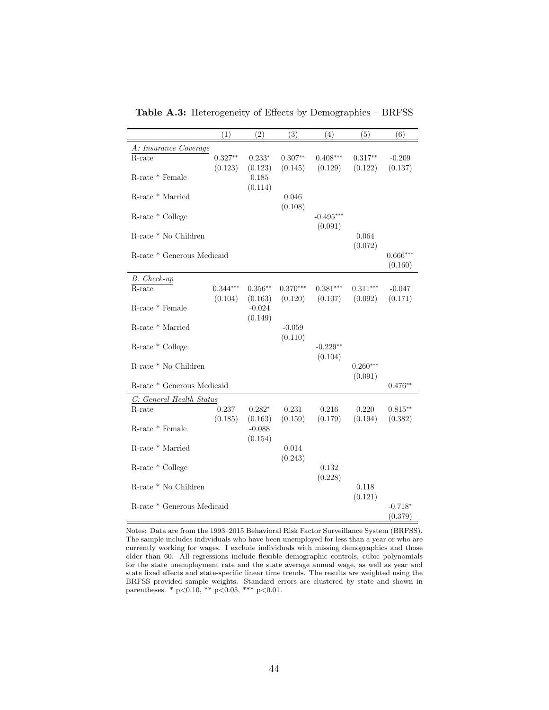|                                             | (1)        | $\overline{(2)}$ | (3)                | (4)         | (5)              | (6)                  |  |
|---------------------------------------------|------------|------------------|--------------------|-------------|------------------|----------------------|--|
| A: Insurance Coverage                       |            |                  |                    |             |                  |                      |  |
| $R$ -rate                                   | $0.327**$  | $0.233*$         | $0.307^{\ast\ast}$ | $0.408***$  | $0.317**$        | $-0.209$             |  |
|                                             | (0.123)    | (0.123)          | (0.145)            | (0.129)     | (0.122)          | (0.137)              |  |
| R-rate * Female                             |            | 0.185            |                    |             |                  |                      |  |
|                                             |            | (0.114)          |                    |             |                  |                      |  |
| R-rate * Married                            |            |                  | 0.046<br>(0.108)   |             |                  |                      |  |
| R-rate * College                            |            |                  |                    | $-0.495***$ |                  |                      |  |
|                                             |            |                  |                    | (0.091)     |                  |                      |  |
| R-rate * No Children                        |            |                  |                    |             | 0.064            |                      |  |
|                                             |            |                  |                    |             | (0.072)          |                      |  |
| $\operatorname{R-rate}$ * Generous Medicaid |            |                  |                    |             |                  | $0.666***$           |  |
|                                             |            |                  |                    |             |                  | (0.160)              |  |
| $B$ : Check-up                              |            |                  |                    |             |                  |                      |  |
| R-rate                                      | $0.344***$ | $0.356**$        | $0.370***$         | $0.381***$  | $0.311***$       | $-0.047$             |  |
|                                             | (0.104)    | (0.163)          | (0.120)            | (0.107)     | (0.092)          | (0.171)              |  |
| R-rate * Female                             |            | $-0.024$         |                    |             |                  |                      |  |
|                                             |            | (0.149)          |                    |             |                  |                      |  |
| R-rate * Married                            |            |                  | $-0.059$           |             |                  |                      |  |
|                                             |            |                  | (0.110)            | $-0.229**$  |                  |                      |  |
| R-rate * College                            |            |                  |                    | (0.104)     |                  |                      |  |
| R-rate * No Children                        |            |                  |                    |             | $0.260***$       |                      |  |
|                                             |            |                  |                    |             | (0.091)          |                      |  |
| R-rate * Generous Medicaid                  |            |                  |                    |             |                  | $0.476**$            |  |
| C: General Health Status                    |            |                  |                    |             |                  |                      |  |
| R-rate                                      | 0.237      | $0.282*$         | 0.231              | 0.216       | 0.220            | $0.815***$           |  |
|                                             | (0.185)    | (0.163)          | (0.159)            | (0.179)     | (0.194)          | (0.382)              |  |
| R-rate * Female                             |            | $-0.088$         |                    |             |                  |                      |  |
|                                             |            | (0.154)          |                    |             |                  |                      |  |
| R-rate * Married                            |            |                  | 0.014              |             |                  |                      |  |
|                                             |            |                  | (0.243)            |             |                  |                      |  |
| R-rate * College                            |            |                  |                    | 0.132       |                  |                      |  |
|                                             |            |                  |                    | (0.228)     |                  |                      |  |
| $R$ -rate $*$ No Children                   |            |                  |                    |             | 0.118<br>(0.121) |                      |  |
|                                             |            |                  |                    |             |                  |                      |  |
|                                             |            |                  |                    |             |                  |                      |  |
| R-rate * Generous Medicaid                  |            |                  |                    |             |                  | $-0.718*$<br>(0.379) |  |

Table A.3: Heterogeneity of Effects by Demographics – BRFSS

Notes: Data are from the 1993–2015 Behavioral Risk Factor Surveillance System (BRFSS). The sample includes individuals who have been unemployed for less than a year or who are currently working for wages. I exclude individuals with missing demographics and those older than 60. All regressions include flexible demographic controls, cubic polynomials for the state unemployment rate and the state average annual wage, as well as year and state fixed effects and state-specific linear time trends. The results are weighted using the BRFSS provided sample weights. Standard errors are clustered by state and shown in parentheses. \* p<0.10, \*\* p<0.05, \*\*\* p<0.01.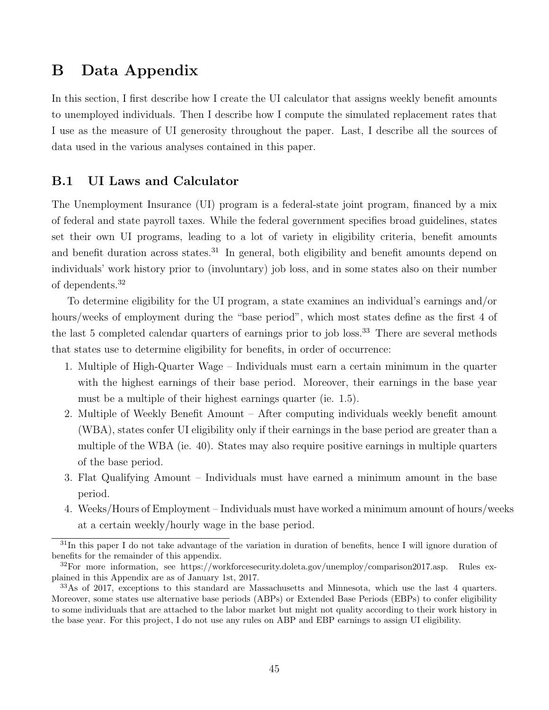## B Data Appendix

In this section, I first describe how I create the UI calculator that assigns weekly benefit amounts to unemployed individuals. Then I describe how I compute the simulated replacement rates that I use as the measure of UI generosity throughout the paper. Last, I describe all the sources of data used in the various analyses contained in this paper.

## B.1 UI Laws and Calculator

The Unemployment Insurance (UI) program is a federal-state joint program, financed by a mix of federal and state payroll taxes. While the federal government specifies broad guidelines, states set their own UI programs, leading to a lot of variety in eligibility criteria, benefit amounts and benefit duration across states.<sup>31</sup> In general, both eligibility and benefit amounts depend on individuals' work history prior to (involuntary) job loss, and in some states also on their number of dependents.<sup>32</sup>

To determine eligibility for the UI program, a state examines an individual's earnings and/or hours/weeks of employment during the "base period", which most states define as the first 4 of the last 5 completed calendar quarters of earnings prior to job loss.<sup>33</sup> There are several methods that states use to determine eligibility for benefits, in order of occurrence:

- 1. Multiple of High-Quarter Wage Individuals must earn a certain minimum in the quarter with the highest earnings of their base period. Moreover, their earnings in the base year must be a multiple of their highest earnings quarter (ie. 1.5).
- 2. Multiple of Weekly Benefit Amount After computing individuals weekly benefit amount (WBA), states confer UI eligibility only if their earnings in the base period are greater than a multiple of the WBA (ie. 40). States may also require positive earnings in multiple quarters of the base period.
- 3. Flat Qualifying Amount Individuals must have earned a minimum amount in the base period.
- 4. Weeks/Hours of Employment Individuals must have worked a minimum amount of hours/weeks at a certain weekly/hourly wage in the base period.

 $31<sup>31</sup>$ In this paper I do not take advantage of the variation in duration of benefits, hence I will ignore duration of benefits for the remainder of this appendix.

 $32$ For more information, see https://workforcesecurity.doleta.gov/unemploy/comparison2017.asp. Rules explained in this Appendix are as of January 1st, 2017.

<sup>33</sup>As of 2017, exceptions to this standard are Massachusetts and Minnesota, which use the last 4 quarters. Moreover, some states use alternative base periods (ABPs) or Extended Base Periods (EBPs) to confer eligibility to some individuals that are attached to the labor market but might not quality according to their work history in the base year. For this project, I do not use any rules on ABP and EBP earnings to assign UI eligibility.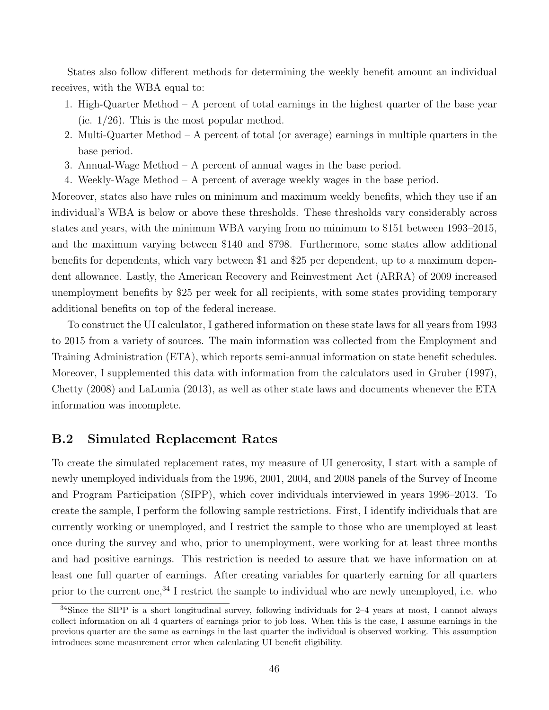States also follow different methods for determining the weekly benefit amount an individual receives, with the WBA equal to:

- 1. High-Quarter Method A percent of total earnings in the highest quarter of the base year (ie.  $1/26$ ). This is the most popular method.
- 2. Multi-Quarter Method A percent of total (or average) earnings in multiple quarters in the base period.
- 3. Annual-Wage Method A percent of annual wages in the base period.
- 4. Weekly-Wage Method A percent of average weekly wages in the base period.

Moreover, states also have rules on minimum and maximum weekly benefits, which they use if an individual's WBA is below or above these thresholds. These thresholds vary considerably across states and years, with the minimum WBA varying from no minimum to \$151 between 1993–2015, and the maximum varying between \$140 and \$798. Furthermore, some states allow additional benefits for dependents, which vary between \$1 and \$25 per dependent, up to a maximum dependent allowance. Lastly, the American Recovery and Reinvestment Act (ARRA) of 2009 increased unemployment benefits by \$25 per week for all recipients, with some states providing temporary additional benefits on top of the federal increase.

To construct the UI calculator, I gathered information on these state laws for all years from 1993 to 2015 from a variety of sources. The main information was collected from the Employment and Training Administration (ETA), which reports semi-annual information on state benefit schedules. Moreover, I supplemented this data with information from the calculators used in Gruber (1997), Chetty (2008) and LaLumia (2013), as well as other state laws and documents whenever the ETA information was incomplete.

## B.2 Simulated Replacement Rates

To create the simulated replacement rates, my measure of UI generosity, I start with a sample of newly unemployed individuals from the 1996, 2001, 2004, and 2008 panels of the Survey of Income and Program Participation (SIPP), which cover individuals interviewed in years 1996–2013. To create the sample, I perform the following sample restrictions. First, I identify individuals that are currently working or unemployed, and I restrict the sample to those who are unemployed at least once during the survey and who, prior to unemployment, were working for at least three months and had positive earnings. This restriction is needed to assure that we have information on at least one full quarter of earnings. After creating variables for quarterly earning for all quarters prior to the current one,<sup>34</sup> I restrict the sample to individual who are newly unemployed, i.e. who

<sup>34</sup>Since the SIPP is a short longitudinal survey, following individuals for 2–4 years at most, I cannot always collect information on all 4 quarters of earnings prior to job loss. When this is the case, I assume earnings in the previous quarter are the same as earnings in the last quarter the individual is observed working. This assumption introduces some measurement error when calculating UI benefit eligibility.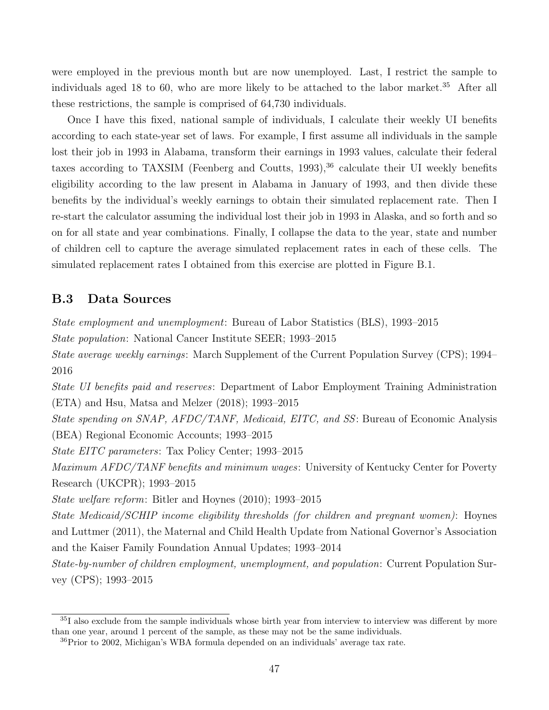were employed in the previous month but are now unemployed. Last, I restrict the sample to individuals aged 18 to 60, who are more likely to be attached to the labor market.<sup>35</sup> After all these restrictions, the sample is comprised of 64,730 individuals.

Once I have this fixed, national sample of individuals, I calculate their weekly UI benefits according to each state-year set of laws. For example, I first assume all individuals in the sample lost their job in 1993 in Alabama, transform their earnings in 1993 values, calculate their federal taxes according to TAXSIM (Feenberg and Coutts,  $1993$ ),  $36$  calculate their UI weekly benefits eligibility according to the law present in Alabama in January of 1993, and then divide these benefits by the individual's weekly earnings to obtain their simulated replacement rate. Then I re-start the calculator assuming the individual lost their job in 1993 in Alaska, and so forth and so on for all state and year combinations. Finally, I collapse the data to the year, state and number of children cell to capture the average simulated replacement rates in each of these cells. The simulated replacement rates I obtained from this exercise are plotted in Figure B.1.

## B.3 Data Sources

State employment and unemployment: Bureau of Labor Statistics (BLS), 1993–2015

State population: National Cancer Institute SEER; 1993–2015

State average weekly earnings: March Supplement of the Current Population Survey (CPS); 1994– 2016

State UI benefits paid and reserves: Department of Labor Employment Training Administration (ETA) and Hsu, Matsa and Melzer (2018); 1993–2015

State spending on SNAP, AFDC/TANF, Medicaid, EITC, and SS: Bureau of Economic Analysis (BEA) Regional Economic Accounts; 1993–2015

State EITC parameters: Tax Policy Center; 1993–2015

Maximum AFDC/TANF benefits and minimum wages: University of Kentucky Center for Poverty Research (UKCPR); 1993–2015

State welfare reform: Bitler and Hoynes (2010); 1993–2015

State Medicaid/SCHIP income eligibility thresholds (for children and pregnant women): Hoynes and Luttmer (2011), the Maternal and Child Health Update from National Governor's Association and the Kaiser Family Foundation Annual Updates; 1993–2014

State-by-number of children employment, unemployment, and population: Current Population Survey (CPS); 1993–2015

<sup>35</sup>I also exclude from the sample individuals whose birth year from interview to interview was different by more than one year, around 1 percent of the sample, as these may not be the same individuals.

<sup>36</sup>Prior to 2002, Michigan's WBA formula depended on an individuals' average tax rate.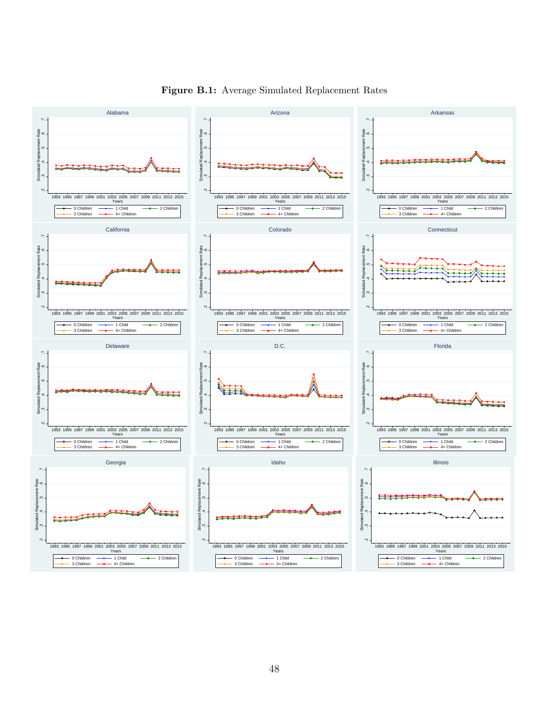

Figure B.1: Average Simulated Replacement Rates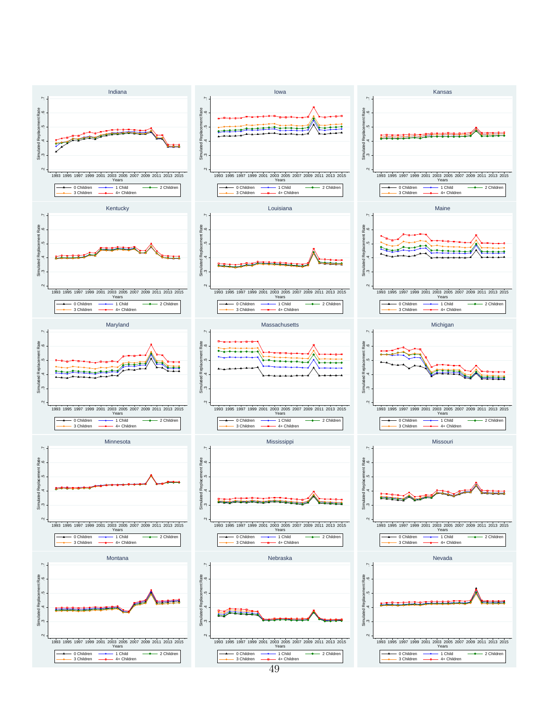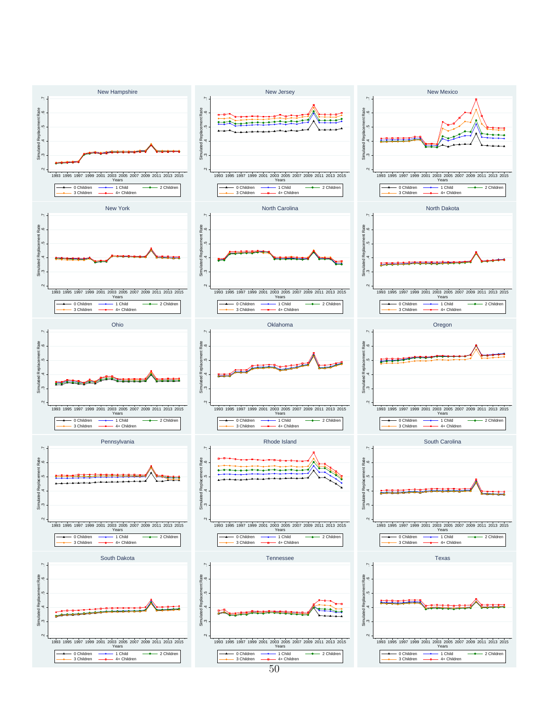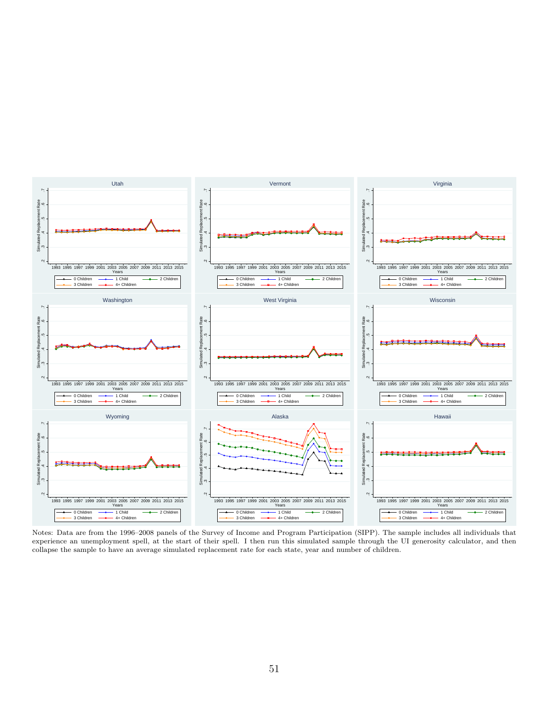

Notes: Data are from the 1996–2008 panels of the Survey of Income and Program Participation (SIPP). The sample includes all individuals that experience an unemployment spell, at the start of their spell. I then run this simulated sample through the UI generosity calculator, and then collapse the sample to have an average simulated replacement rate for each state, year and number of children.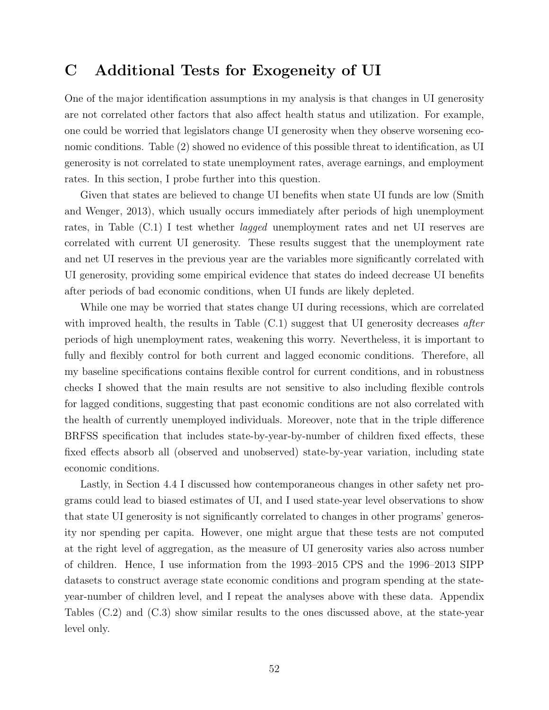## C Additional Tests for Exogeneity of UI

One of the major identification assumptions in my analysis is that changes in UI generosity are not correlated other factors that also affect health status and utilization. For example, one could be worried that legislators change UI generosity when they observe worsening economic conditions. Table (2) showed no evidence of this possible threat to identification, as UI generosity is not correlated to state unemployment rates, average earnings, and employment rates. In this section, I probe further into this question.

Given that states are believed to change UI benefits when state UI funds are low (Smith and Wenger, 2013), which usually occurs immediately after periods of high unemployment rates, in Table (C.1) I test whether lagged unemployment rates and net UI reserves are correlated with current UI generosity. These results suggest that the unemployment rate and net UI reserves in the previous year are the variables more significantly correlated with UI generosity, providing some empirical evidence that states do indeed decrease UI benefits after periods of bad economic conditions, when UI funds are likely depleted.

While one may be worried that states change UI during recessions, which are correlated with improved health, the results in Table  $(C.1)$  suggest that UI generosity decreases after periods of high unemployment rates, weakening this worry. Nevertheless, it is important to fully and flexibly control for both current and lagged economic conditions. Therefore, all my baseline specifications contains flexible control for current conditions, and in robustness checks I showed that the main results are not sensitive to also including flexible controls for lagged conditions, suggesting that past economic conditions are not also correlated with the health of currently unemployed individuals. Moreover, note that in the triple difference BRFSS specification that includes state-by-year-by-number of children fixed effects, these fixed effects absorb all (observed and unobserved) state-by-year variation, including state economic conditions.

Lastly, in Section 4.4 I discussed how contemporaneous changes in other safety net programs could lead to biased estimates of UI, and I used state-year level observations to show that state UI generosity is not significantly correlated to changes in other programs' generosity nor spending per capita. However, one might argue that these tests are not computed at the right level of aggregation, as the measure of UI generosity varies also across number of children. Hence, I use information from the 1993–2015 CPS and the 1996–2013 SIPP datasets to construct average state economic conditions and program spending at the stateyear-number of children level, and I repeat the analyses above with these data. Appendix Tables (C.2) and (C.3) show similar results to the ones discussed above, at the state-year level only.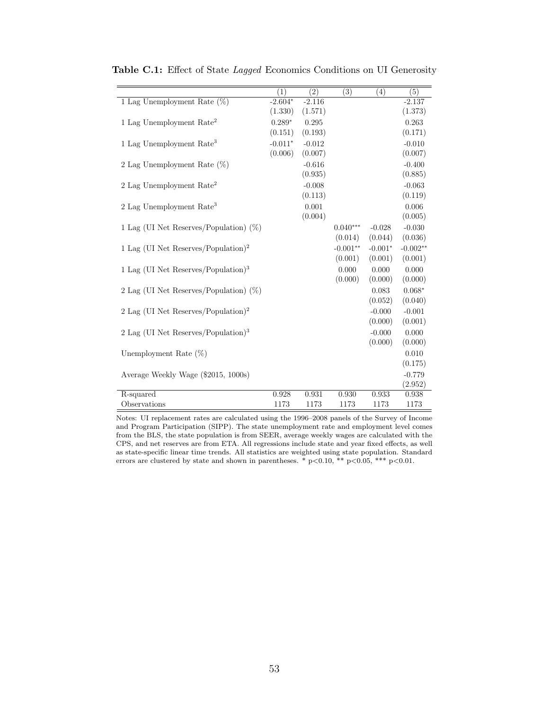|                                                   | $\overline{(1)}$ | $\overline{(2)}$ | $\overline{(3)}$ | $\overline{(4)}$ | $\overline{(5)}$ |
|---------------------------------------------------|------------------|------------------|------------------|------------------|------------------|
| 1 Lag Unemployment Rate $(\%)$                    | $-2.604*$        | $-2.116$         |                  |                  | $-2.137$         |
|                                                   | (1.330)          | (1.571)          |                  |                  | (1.373)          |
| 1 Lag Unemployment Rate <sup>2</sup>              | $0.289*$         | 0.295            |                  |                  | 0.263            |
|                                                   | (0.151)          | (0.193)          |                  |                  | (0.171)          |
| 1 Lag Unemployment Rate <sup>3</sup>              | $-0.011*$        | $-0.012$         |                  |                  | $-0.010$         |
|                                                   | (0.006)          | (0.007)          |                  |                  | (0.007)          |
| 2 Lag Unemployment Rate $(\%)$                    |                  | $-0.616$         |                  |                  | $-0.400$         |
|                                                   |                  | (0.935)          |                  |                  | (0.885)          |
| 2 Lag Unemployment Rate <sup>2</sup>              |                  | $-0.008$         |                  |                  | $-0.063$         |
|                                                   |                  | (0.113)          |                  |                  | (0.119)          |
| 2 Lag Unemployment Rate <sup>3</sup>              |                  | 0.001            |                  |                  | 0.006            |
|                                                   |                  | (0.004)          |                  |                  | (0.005)          |
| 1 Lag (UI Net Reserves/Population) $(\%)$         |                  |                  | $0.040***$       | $-0.028$         | $-0.030$         |
|                                                   |                  |                  | (0.014)          | (0.044)          | (0.036)          |
| 1 Lag (UI Net Reserves/Population) <sup>2</sup>   |                  |                  | $-0.001**$       | $-0.001*$        | $-0.002**$       |
|                                                   |                  |                  | (0.001)          | (0.001)          | (0.001)          |
| 1 Lag (UI Net Reserves/Population) <sup>3</sup>   |                  |                  | 0.000            | 0.000            | 0.000            |
|                                                   |                  |                  | (0.000)          | (0.000)          | (0.000)          |
| 2 Lag (UI Net Reserves/Population) $(\%)$         |                  |                  |                  | 0.083            | $0.068*$         |
|                                                   |                  |                  |                  | (0.052)          | (0.040)          |
| 2 Lag (UI Net Reserves/Population) <sup>2</sup>   |                  |                  |                  | $-0.000$         | $-0.001$         |
|                                                   |                  |                  |                  | (0.000)          | (0.001)          |
| $2$ Lag (UI Net Reserves/Population) <sup>3</sup> |                  |                  |                  | $-0.000$         | 0.000            |
|                                                   |                  |                  |                  | (0.000)          | (0.000)          |
| Unemployment Rate $(\%)$                          |                  |                  |                  |                  | 0.010            |
|                                                   |                  |                  |                  |                  | (0.175)          |
| Average Weekly Wage (\$2015, 1000s)               |                  |                  |                  |                  | $-0.779$         |
|                                                   |                  |                  |                  |                  | (2.952)          |
| R-squared                                         | 0.928            | 0.931            | 0.930            | 0.933            | 0.938            |
| Observations                                      | 1173             | 1173             | 1173             | 1173             | 1173             |

Table C.1: Effect of State Lagged Economics Conditions on UI Generosity

Notes: UI replacement rates are calculated using the 1996–2008 panels of the Survey of Income and Program Participation (SIPP). The state unemployment rate and employment level comes from the BLS, the state population is from SEER, average weekly wages are calculated with the CPS, and net reserves are from ETA. All regressions include state and year fixed effects, as well as state-specific linear time trends. All statistics are weighted using state population. Standard errors are clustered by state and shown in parentheses. \*  $p<0.10$ , \*\*  $p<0.05$ , \*\*\*  $p<0.01$ .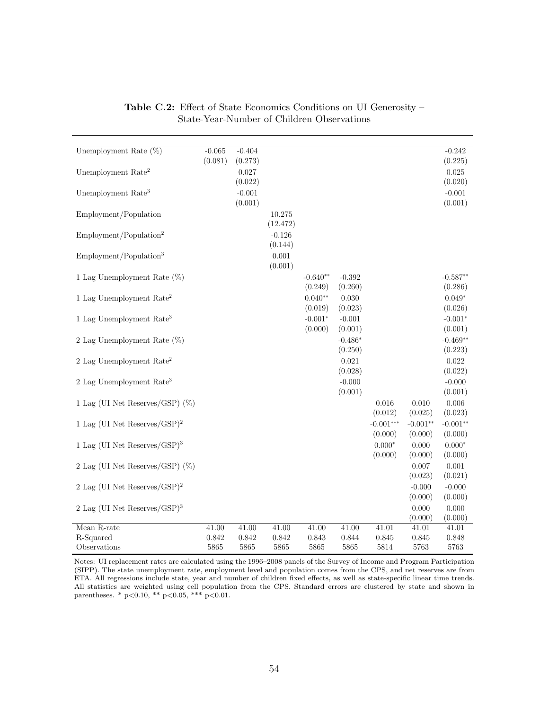| Unemployment Rate $(\%)$                 | $-0.065$ | $-0.404$ |          |            |           |             |            | $-0.242$     |
|------------------------------------------|----------|----------|----------|------------|-----------|-------------|------------|--------------|
|                                          | (0.081)  | (0.273)  |          |            |           |             |            | (0.225)      |
| Unemployment Rate <sup>2</sup>           |          | 0.027    |          |            |           |             |            | 0.025        |
|                                          |          | (0.022)  |          |            |           |             |            | (0.020)      |
| Unemployment Rate <sup>3</sup>           |          | $-0.001$ |          |            |           |             |            | $-0.001$     |
|                                          |          | (0.001)  |          |            |           |             |            | (0.001)      |
| Employment/Population                    |          |          | 10.275   |            |           |             |            |              |
|                                          |          |          | (12.472) |            |           |             |            |              |
| Employment/Population <sup>2</sup>       |          |          | $-0.126$ |            |           |             |            |              |
|                                          |          |          | (0.144)  |            |           |             |            |              |
| Employment/Population <sup>3</sup>       |          |          | 0.001    |            |           |             |            |              |
|                                          |          |          | (0.001)  |            |           |             |            |              |
| 1 Lag Unemployment Rate $(\%)$           |          |          |          | $-0.640**$ | $-0.392$  |             |            | $-0.587**$   |
|                                          |          |          |          | (0.249)    | (0.260)   |             |            | (0.286)      |
| 1 Lag Unemployment $Rate2$               |          |          |          | $0.040**$  | 0.030     |             |            | $0.049*$     |
|                                          |          |          |          | (0.019)    | (0.023)   |             |            | (0.026)      |
| 1 Lag Unemployment Rate <sup>3</sup>     |          |          |          | $-0.001*$  | $-0.001$  |             |            | $-0.001*$    |
|                                          |          |          |          | (0.000)    | (0.001)   |             |            | (0.001)      |
|                                          |          |          |          |            |           |             |            | $-0.469**$   |
| 2 Lag Unemployment Rate $(\%)$           |          |          |          |            | $-0.486*$ |             |            |              |
|                                          |          |          |          |            | (0.250)   |             |            | (0.223)      |
| $2$ Lag Unemployment Rate <sup>2</sup>   |          |          |          |            | 0.021     |             |            | 0.022        |
|                                          |          |          |          |            | (0.028)   |             |            | (0.022)      |
| $2$ Lag Unemployment Rate <sup>3</sup>   |          |          |          |            | $-0.000$  |             |            | $-0.000$     |
|                                          |          |          |          |            | (0.001)   |             |            | (0.001)      |
| 1 Lag (UI Net Reserves/GSP) $(\%)$       |          |          |          |            |           | 0.016       | 0.010      | 0.006        |
|                                          |          |          |          |            |           | (0.012)     | (0.025)    | (0.023)      |
| 1 Lag (UI Net Reserves/GSP) <sup>2</sup> |          |          |          |            |           | $-0.001***$ | $-0.001**$ | $-0.001**$   |
|                                          |          |          |          |            |           | (0.000)     | (0.000)    | (0.000)      |
| 1 Lag (UI Net Reserves/GSP) <sup>3</sup> |          |          |          |            |           | $0.000*$    | 0.000      | $0.000^\ast$ |
|                                          |          |          |          |            |           | (0.000)     | (0.000)    | (0.000)      |
| 2 Lag (UI Net Reserves/GSP) $(\%)$       |          |          |          |            |           |             | 0.007      | 0.001        |
|                                          |          |          |          |            |           |             | (0.023)    | (0.021)      |
| 2 Lag (UI Net Reserves/GSP) <sup>2</sup> |          |          |          |            |           |             | $-0.000$   | $-0.000$     |
|                                          |          |          |          |            |           |             | (0.000)    | (0.000)      |
| 2 Lag (UI Net Reserves/GSP) $3$          |          |          |          |            |           |             | 0.000      | 0.000        |
|                                          |          |          |          |            |           |             | (0.000)    | (0.000)      |
| Mean R-rate                              | 41.00    | 41.00    | 41.00    | 41.00      | 41.00     | 41.01       | 41.01      | 41.01        |
| R-Squared                                | 0.842    | 0.842    | 0.842    | 0.843      | 0.844     | 0.845       | 0.845      | 0.848        |
| Observations                             | 5865     | 5865     | 5865     | 5865       | 5865      | 5814        | 5763       | 5763         |

Table C.2: Effect of State Economics Conditions on UI Generosity – State-Year-Number of Children Observations

Notes: UI replacement rates are calculated using the 1996–2008 panels of the Survey of Income and Program Participation (SIPP). The state unemployment rate, employment level and population comes from the CPS, and net reserves are from ETA. All regressions include state, year and number of children fixed effects, as well as state-specific linear time trends. All statistics are weighted using cell population from the CPS. Standard errors are clustered by state and shown in parentheses. \* p<0.10, \*\* p<0.05, \*\*\* p<0.01.